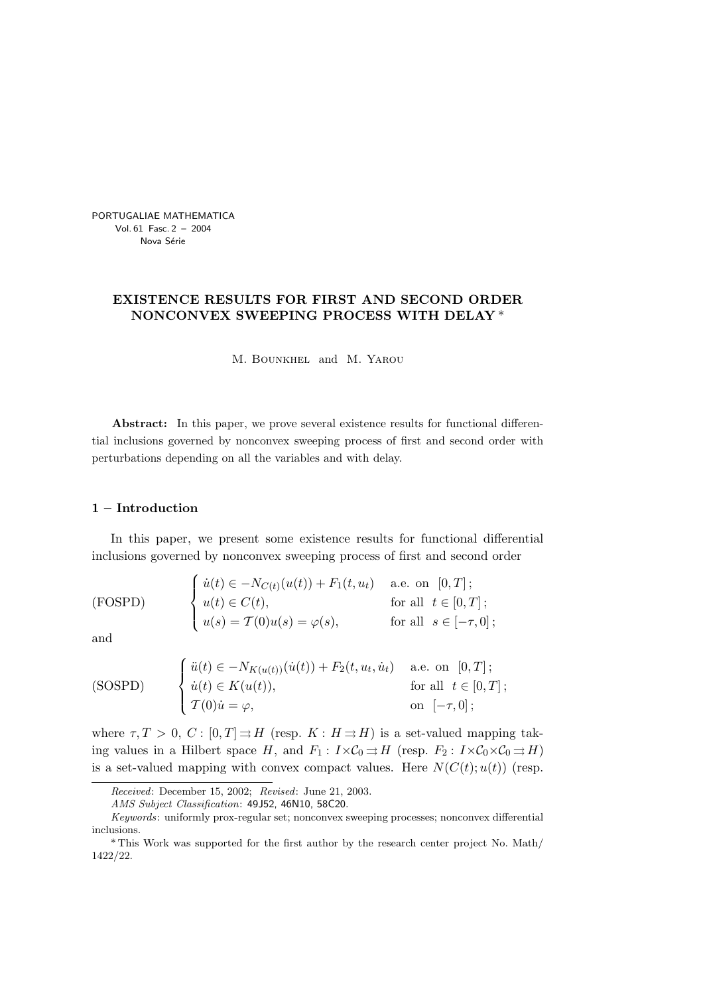PORTUGALIAE MATHEMATICA Vol. 61 Fasc. 2 – 2004 Nova Série

# EXISTENCE RESULTS FOR FIRST AND SECOND ORDER NONCONVEX SWEEPING PROCESS WITH DELAY \*

M. Bounkhel and M. Yarou

Abstract: In this paper, we prove several existence results for functional differential inclusions governed by nonconvex sweeping process of first and second order with perturbations depending on all the variables and with delay.

### 1 – Introduction

In this paper, we present some existence results for functional differential inclusions governed by nonconvex sweeping process of first and second order

(FOSPD) 
$$
\begin{cases} \n\dot{u}(t) \in -N_{C(t)}(u(t)) + F_1(t, u_t) & \text{a.e. on } [0, T]; \\
u(t) \in C(t), & \text{for all } t \in [0, T]; \\
u(s) = \mathcal{T}(0)u(s) = \varphi(s), & \text{for all } s \in [-\tau, 0]; \n\end{cases}
$$

and

(SOSPD) 
$$
\begin{cases} \n\ddot{u}(t) \in -N_{K(u(t))}(\dot{u}(t)) + F_2(t, u_t, \dot{u}_t) & \text{a.e. on } [0, T]; \\
\dot{u}(t) \in K(u(t)), & \text{for all } t \in [0, T]; \\
\mathcal{T}(0)\dot{u} = \varphi, & \text{on } [-\tau, 0]; \n\end{cases}
$$

where  $\tau, T > 0, C : [0, T] \Rightarrow H$  (resp.  $K : H \Rightarrow H$ ) is a set-valued mapping taking values in a Hilbert space H, and  $F_1: I \times C_0 \rightrightarrows H$  (resp.  $F_2: I \times C_0 \times C_0 \rightrightarrows H$ ) is a set-valued mapping with convex compact values. Here  $N(C(t); u(t))$  (resp.

Received: December 15, 2002; Revised: June 21, 2003.

AMS Subject Classification: 49J52, 46N10, 58C20.

Keywords: uniformly prox-regular set; nonconvex sweeping processes; nonconvex differential inclusions.

<sup>\*</sup> This Work was supported for the first author by the research center project No. Math/ 1422/22.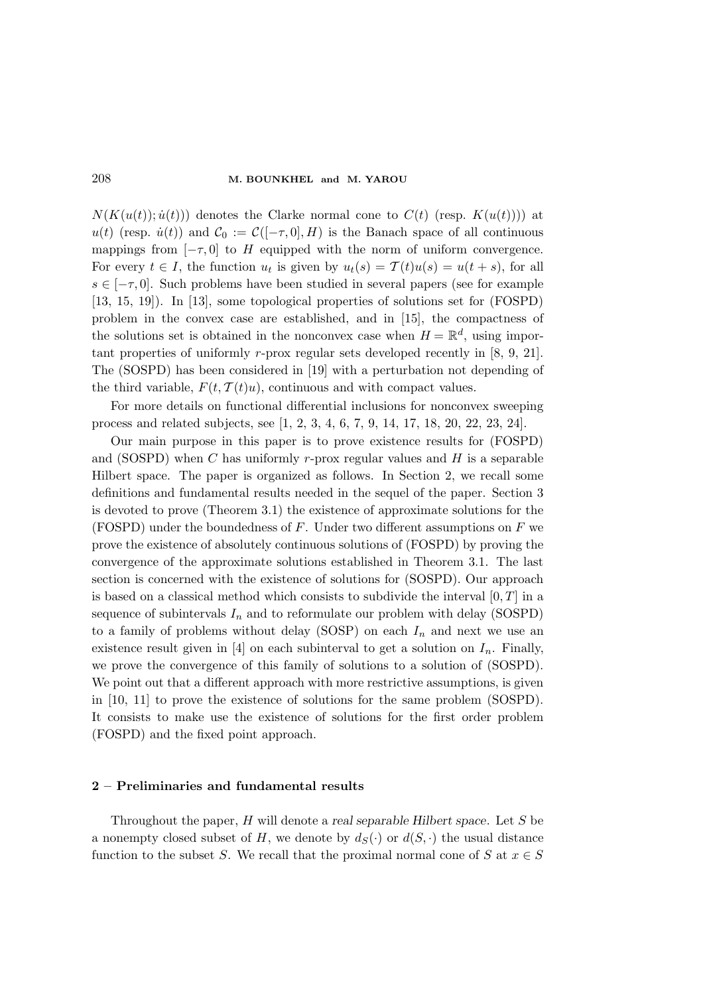$N(K(u(t)); \dot{u}(t)))$  denotes the Clarke normal cone to  $C(t)$  (resp.  $K(u(t)))$ ) at  $u(t)$  (resp.  $\dot{u}(t)$ ) and  $\mathcal{C}_0 := \mathcal{C}(-\tau,0], H$ ) is the Banach space of all continuous mappings from  $[-\tau, 0]$  to H equipped with the norm of uniform convergence. For every  $t \in I$ , the function  $u_t$  is given by  $u_t(s) = \mathcal{T}(t)u(s) = u(t+s)$ , for all  $s \in [-\tau, 0]$ . Such problems have been studied in several papers (see for example [13, 15, 19]). In [13], some topological properties of solutions set for (FOSPD) problem in the convex case are established, and in [15], the compactness of the solutions set is obtained in the nonconvex case when  $H = \mathbb{R}^d$ , using important properties of uniformly r-prox regular sets developed recently in [8, 9, 21]. The (SOSPD) has been considered in [19] with a perturbation not depending of the third variable,  $F(t, \mathcal{T}(t)u)$ , continuous and with compact values.

For more details on functional differential inclusions for nonconvex sweeping process and related subjects, see [1, 2, 3, 4, 6, 7, 9, 14, 17, 18, 20, 22, 23, 24].

Our main purpose in this paper is to prove existence results for (FOSPD) and (SOSPD) when  $C$  has uniformly r-prox regular values and  $H$  is a separable Hilbert space. The paper is organized as follows. In Section 2, we recall some definitions and fundamental results needed in the sequel of the paper. Section 3 is devoted to prove (Theorem 3.1) the existence of approximate solutions for the (FOSPD) under the boundedness of  $F$ . Under two different assumptions on  $F$  we prove the existence of absolutely continuous solutions of (FOSPD) by proving the convergence of the approximate solutions established in Theorem 3.1. The last section is concerned with the existence of solutions for (SOSPD). Our approach is based on a classical method which consists to subdivide the interval  $[0, T]$  in a sequence of subintervals  $I_n$  and to reformulate our problem with delay (SOSPD) to a family of problems without delay (SOSP) on each  $I_n$  and next we use an existence result given in [4] on each subinterval to get a solution on  $I_n$ . Finally, we prove the convergence of this family of solutions to a solution of (SOSPD). We point out that a different approach with more restrictive assumptions, is given in [10, 11] to prove the existence of solutions for the same problem (SOSPD). It consists to make use the existence of solutions for the first order problem (FOSPD) and the fixed point approach.

## 2 – Preliminaries and fundamental results

Throughout the paper,  $H$  will denote a real separable Hilbert space. Let  $S$  be a nonempty closed subset of H, we denote by  $d_S(\cdot)$  or  $d(S, \cdot)$  the usual distance function to the subset S. We recall that the proximal normal cone of S at  $x \in S$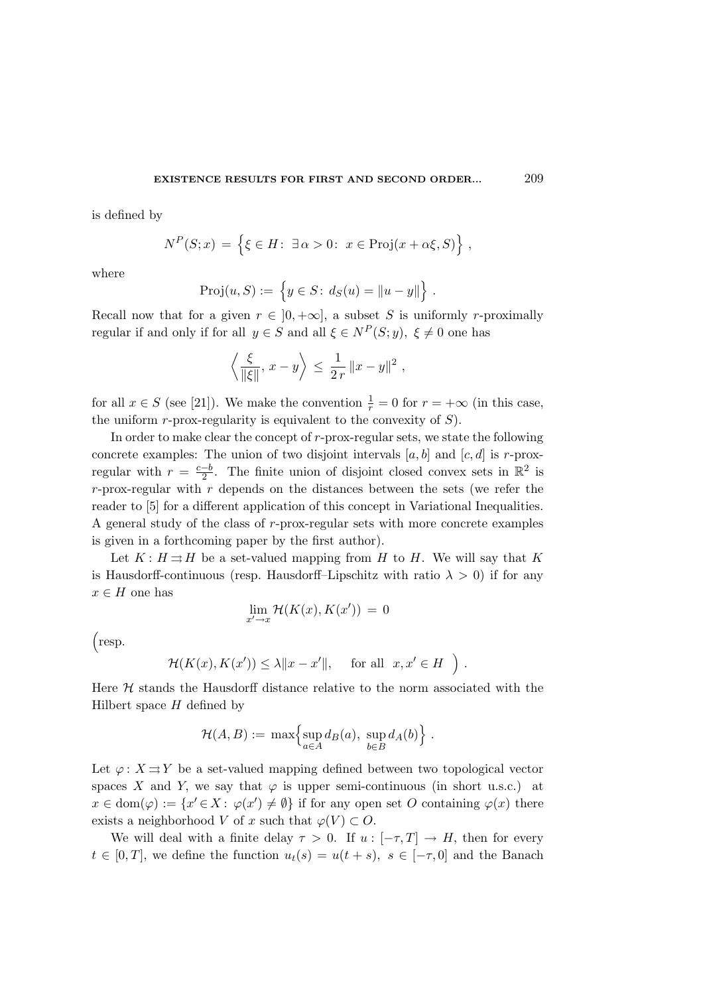is defined by

$$
N^{P}(S; x) = \{ \xi \in H \colon \exists \alpha > 0 \colon x \in \text{Proj}(x + \alpha \xi, S) \},
$$

where

$$
Proj(u, S) := \{ y \in S : d_S(u) = ||u - y|| \} .
$$

Recall now that for a given  $r \in [0, +\infty]$ , a subset S is uniformly r-proximally regular if and only if for all  $y \in S$  and all  $\xi \in N^P(S; y)$ ,  $\xi \neq 0$  one has

$$
\left\langle \frac{\xi}{\|\xi\|}, x - y \right\rangle \le \frac{1}{2r} \|x - y\|^2
$$
,

for all  $x \in S$  (see [21]). We make the convention  $\frac{1}{r} = 0$  for  $r = +\infty$  (in this case, the uniform  $r$ -prox-regularity is equivalent to the convexity of  $S$ ).

In order to make clear the concept of r-prox-regular sets, we state the following concrete examples: The union of two disjoint intervals  $[a, b]$  and  $[c, d]$  is r-proxregular with  $r = \frac{c-b}{2}$  $\frac{-b}{2}$ . The finite union of disjoint closed convex sets in  $\mathbb{R}^2$  is r-prox-regular with  $r$  depends on the distances between the sets (we refer the reader to [5] for a different application of this concept in Variational Inequalities. A general study of the class of r-prox-regular sets with more concrete examples is given in a forthcoming paper by the first author).

Let  $K: H \rightrightarrows H$  be a set-valued mapping from H to H. We will say that K is Hausdorff-continuous (resp. Hausdorff–Lipschitz with ratio  $\lambda > 0$ ) if for any  $x\in H$  one has

$$
\lim_{x' \to x} \mathcal{H}(K(x), K(x')) = 0
$$

³ resp.

$$
\mathcal{H}(K(x), K(x')) \le \lambda \|x - x'\|, \quad \text{for all} \ \ x, x' \in H \ \ \Big)
$$

.

Here  $H$  stands the Hausdorff distance relative to the norm associated with the Hilbert space  $H$  defined by

$$
\mathcal{H}(A, B) := \max \left\{ \sup_{a \in A} d_B(a), \sup_{b \in B} d_A(b) \right\}.
$$

Let  $\varphi: X \rightrightarrows Y$  be a set-valued mapping defined between two topological vector spaces X and Y, we say that  $\varphi$  is upper semi-continuous (in short u.s.c.) at  $x \in \text{dom}(\varphi) := \{x' \in X : \varphi(x') \neq \emptyset\}$  if for any open set O containing  $\varphi(x)$  there exists a neighborhood V of x such that  $\varphi(V) \subset O$ .

We will deal with a finite delay  $\tau > 0$ . If  $u : [-\tau, T] \to H$ , then for every  $t \in [0, T]$ , we define the function  $u_t(s) = u(t + s)$ ,  $s \in [-\tau, 0]$  and the Banach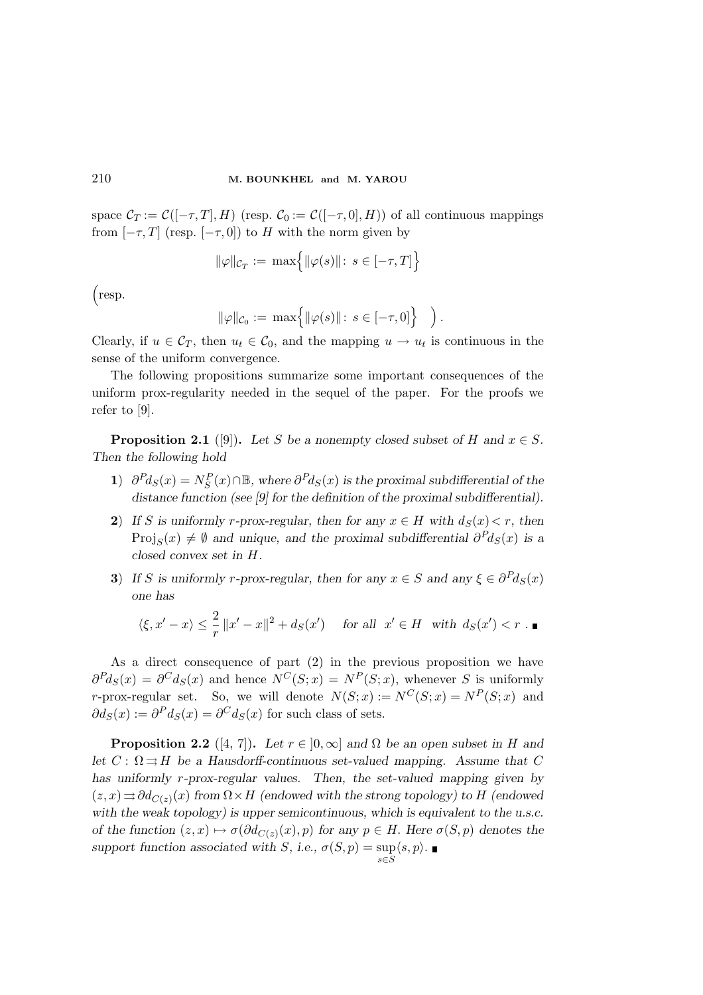space  $\mathcal{C}_T := \mathcal{C}([-\tau, T], H)$  (resp.  $\mathcal{C}_0 := \mathcal{C}([-\tau, 0], H)$ ) of all continuous mappings from  $[-\tau, T]$  (resp.  $[-\tau, 0]$ ) to H with the norm given by

$$
\|\varphi\|_{\mathcal{C}_T} := \max \Bigl\{ \|\varphi(s)\| \colon s \in [-\tau, T] \Bigr\}
$$

³ resp.

$$
\|\varphi\|_{\mathcal{C}_0} := \max\left\{ \|\varphi(s)\| \colon s \in [-\tau, 0] \right\} \quad \Big).
$$

Clearly, if  $u \in \mathcal{C}_T$ , then  $u_t \in \mathcal{C}_0$ , and the mapping  $u \to u_t$  is continuous in the sense of the uniform convergence.

The following propositions summarize some important consequences of the uniform prox-regularity needed in the sequel of the paper. For the proofs we refer to [9].

**Proposition 2.1** ([9]). Let S be a nonempty closed subset of H and  $x \in S$ . Then the following hold

- 1)  $\partial^P d_S(x) = N_S^P(x) \cap \mathbb{B}$ , where  $\partial^P d_S(x)$  is the proximal subdifferential of the distance function (see [9] for the definition of the proximal subdifferential).
- 2) If S is uniformly r-prox-regular, then for any  $x \in H$  with  $d_S(x) < r$ , then  $Proj_S(x) \neq \emptyset$  and unique, and the proximal subdifferential  $\partial^P d_S(x)$  is a closed convex set in H.
- 3) If S is uniformly r-prox-regular, then for any  $x \in S$  and any  $\xi \in \partial^P d_S(x)$ one has

$$
\langle \xi, x' - x \rangle \le \frac{2}{r} \|x' - x\|^2 + d_S(x') \quad \text{ for all } \ x' \in H \text{ with } d_S(x') < r \ . \blacksquare
$$

As a direct consequence of part (2) in the previous proposition we have  $\partial^{P}d_S(x) = \partial^{C}d_S(x)$  and hence  $N^{C}(S; x) = N^{P}(S; x)$ , whenever S is uniformly r-prox-regular set. So, we will denote  $N(S; x) := N^C(S; x) = N^P(S; x)$  and  $\partial d_S(x) := \partial^P d_S(x) = \partial^C d_S(x)$  for such class of sets.

**Proposition 2.2** ([4, 7]). Let  $r \in [0,\infty]$  and  $\Omega$  be an open subset in H and let  $C: \Omega \rightrightarrows H$  be a Hausdorff-continuous set-valued mapping. Assume that C has uniformly r-prox-regular values. Then, the set-valued mapping given by  $(z, x) \rightrightarrows \partial d_{C(z)}(x)$  from  $\Omega \times H$  (endowed with the strong topology) to H (endowed with the weak topology) is upper semicontinuous, which is equivalent to the u.s.c. of the function  $(z, x) \mapsto \sigma(\partial d_{C(z)}(x), p)$  for any  $p \in H$ . Here  $\sigma(S, p)$  denotes the support function associated with  $S$ , i.e.,  $\sigma(S, p) = \sup$  $\langle s, p \rangle$ .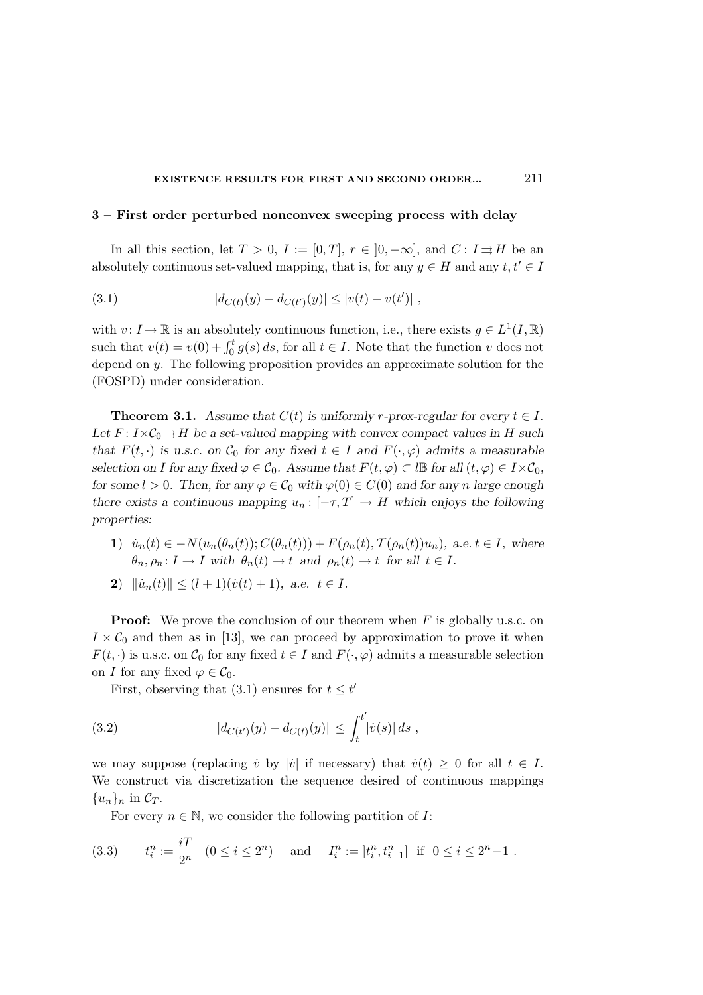#### EXISTENCE RESULTS FOR FIRST AND SECOND ORDER... 211

## 3 – First order perturbed nonconvex sweeping process with delay

In all this section, let  $T > 0$ ,  $I := [0, T]$ ,  $r \in [0, +\infty]$ , and  $C: I \rightrightarrows H$  be an absolutely continuous set-valued mapping, that is, for any  $y \in H$  and any  $t, t' \in I$ 

(3.1) 
$$
|d_{C(t)}(y) - d_{C(t')}(y)| \le |v(t) - v(t')|,
$$

with  $v: I \to \mathbb{R}$  is an absolutely continuous function, i.e., there exists  $g \in L^1(I, \mathbb{R})$ such that  $v(t) = v(0) + \int_0^t g(s) ds$ , for all  $t \in I$ . Note that the function v does not depend on y. The following proposition provides an approximate solution for the (FOSPD) under consideration.

**Theorem 3.1.** Assume that  $C(t)$  is uniformly r-prox-regular for every  $t \in I$ . Let  $F: I \times C_0 \rightrightarrows H$  be a set-valued mapping with convex compact values in H such that  $F(t, \cdot)$  is u.s.c. on  $\mathcal{C}_0$  for any fixed  $t \in I$  and  $F(\cdot, \varphi)$  admits a measurable selection on I for any fixed  $\varphi \in C_0$ . Assume that  $F(t, \varphi) \subset l\mathbb{B}$  for all  $(t, \varphi) \in I \times C_0$ , for some  $l > 0$ . Then, for any  $\varphi \in C_0$  with  $\varphi(0) \in C(0)$  and for any n large enough there exists a continuous mapping  $u_n : [-\tau, T] \to H$  which enjoys the following properties:

- 1)  $\dot{u}_n(t) \in -N(u_n(\theta_n(t)); C(\theta_n(t))) + F(\rho_n(t), \mathcal{T}(\rho_n(t))u_n), \text{ a.e. } t \in I, \text{ where}$  $\theta_n, \rho_n \colon I \to I$  with  $\theta_n(t) \to t$  and  $\rho_n(t) \to t$  for all  $t \in I$ .
- 2)  $\|\dot{u}_n(t)\| \leq (l+1)(\dot{v}(t) + 1),$  a.e.  $t \in I$ .

**Proof:** We prove the conclusion of our theorem when  $F$  is globally u.s.c. on  $I \times C_0$  and then as in [13], we can proceed by approximation to prove it when  $F(t, \cdot)$  is u.s.c. on  $\mathcal{C}_0$  for any fixed  $t \in I$  and  $F(\cdot, \varphi)$  admits a measurable selection on I for any fixed  $\varphi \in \mathcal{C}_0$ .

First, observing that (3.1) ensures for  $t \leq t'$ 

(3.2) 
$$
|d_{C(t')}(y) - d_{C(t)}(y)| \leq \int_t^{t'} |\dot{v}(s)| ds,
$$

we may suppose (replacing v<sup>i</sup> by |v<sup>i</sup>| if necessary) that  $\dot{v}(t) \geq 0$  for all  $t \in I$ . We construct via discretization the sequence desired of continuous mappings  $\{u_n\}_n$  in  $\mathcal{C}_T$ .

For every  $n \in \mathbb{N}$ , we consider the following partition of *I*:

(3.3) 
$$
t_i^n := \frac{iT}{2^n} \quad (0 \le i \le 2^n)
$$
 and  $I_i^n := [t_i^n, t_{i+1}^n]$  if  $0 \le i \le 2^n - 1$ .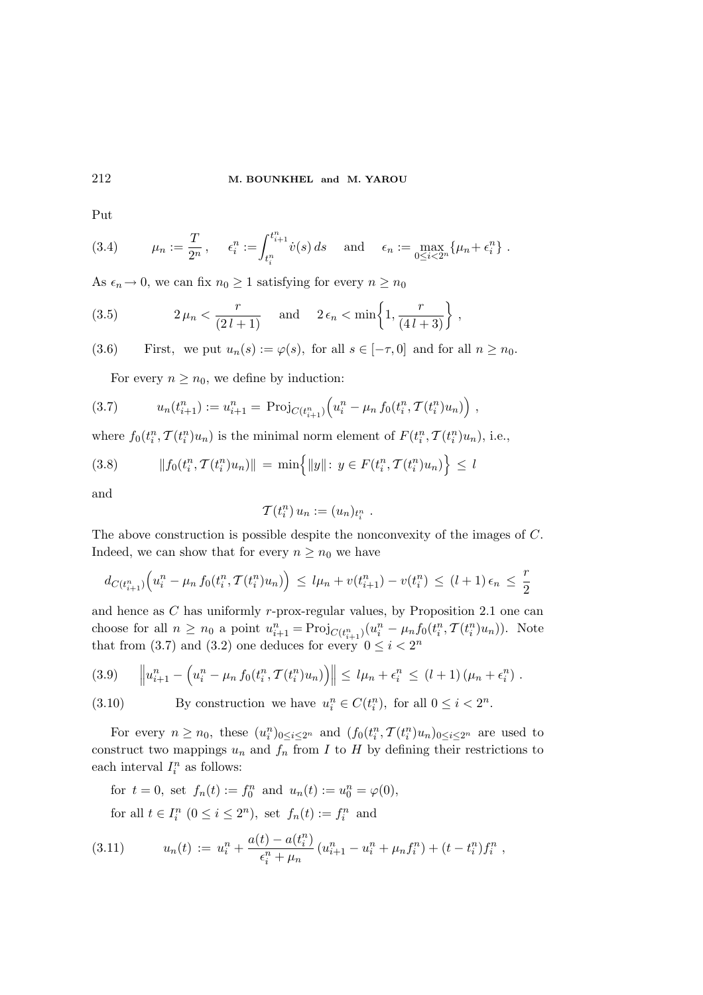Put

(3.4) 
$$
\mu_n := \frac{T}{2^n}, \quad \epsilon_i^n := \int_{t_i^n}^{t_{i+1}^n} \dot{v}(s) ds \quad \text{and} \quad \epsilon_n := \max_{0 \le i < 2^n} \{ \mu_n + \epsilon_i^n \} .
$$

As  $\epsilon_n \to 0$ , we can fix  $n_0 \geq 1$  satisfying for every  $n \geq n_0$ 

(3.5) 
$$
2\mu_n < \frac{r}{(2l+1)}
$$
 and  $2\epsilon_n < \min\left\{1, \frac{r}{(4l+3)}\right\}$ ,

(3.6) First, we put  $u_n(s) := \varphi(s)$ , for all  $s \in [-\tau, 0]$  and for all  $n \geq n_0$ .

For every  $n \geq n_0$ , we define by induction:

(3.7) 
$$
u_n(t_{i+1}^n) := u_{i+1}^n = \text{Proj}_{C(t_{i+1}^n)}(u_i^n - \mu_n f_0(t_i^n, \mathcal{T}(t_i^n) u_n)),
$$

where  $f_0(t_i^n, \mathcal{T}(t_i^n)u_n)$  is the minimal norm element of  $F(t_i^n, \mathcal{T}(t_i^n)u_n)$ , i.e.,

$$
(3.8) \t||f_0(t_i^n, \mathcal{T}(t_i^n)u_n)|| = \min\{|y|: y \in F(t_i^n, \mathcal{T}(t_i^n)u_n)\}\le l
$$

and

$$
\mathcal{T}(t_i^n) u_n := (u_n)_{t_i^n} .
$$

The above construction is possible despite the nonconvexity of the images of C. Indeed, we can show that for every  $n \geq n_0$  we have

$$
d_{C(t_{i+1}^n)}(u_i^n - \mu_n f_0(t_i^n, T(t_i^n)u_n)) \le l\mu_n + v(t_{i+1}^n) - v(t_i^n) \le (l+1)\epsilon_n \le \frac{r}{2}
$$

and hence as C has uniformly r-prox-regular values, by Proposition 2.1 one can choose for all  $n \geq n_0$  a point  $u_{i+1}^n = \text{Proj}_{C(t_{i+1}^n)}(u_i^n - \mu_n f_0(t_i^n, \mathcal{T}(t_i^n)u_n)).$  Note that from (3.7) and (3.2) one deduces for every  $0 \leq i < 2^n$ 

$$
(3.9) \quad \left\| u_{i+1}^n - \left( u_i^n - \mu_n f_0(t_i^n, \mathcal{T}(t_i^n) u_n) \right) \right\| \leq l\mu_n + \epsilon_i^n \leq (l+1) \left( \mu_n + \epsilon_i^n \right).
$$

(3.10) By construction we have  $u_i^n \in C(t_i^n)$ , for all  $0 \le i < 2^n$ .

For every  $n \ge n_0$ , these  $(u_i^n)_{0 \le i \le 2^n}$  and  $(f_0(t_i^n, \mathcal{T}(t_i^n)u_n)_{0 \le i \le 2^n}$  are used to construct two mappings  $u_n$  and  $f_n$  from I to H by defining their restrictions to each interval  $I_i^n$  as follows:

for  $t = 0$ , set  $f_n(t) := f_0^n$  and  $u_n(t) := u_0^n = \varphi(0)$ , for all  $t \in I_i^n$   $(0 \le i \le 2^n)$ , set  $f_n(t) := f_i^n$  and

(3.11) 
$$
u_n(t) := u_i^n + \frac{a(t) - a(t_i^n)}{\epsilon_i^n + \mu_n} (u_{i+1}^n - u_i^n + \mu_n f_i^n) + (t - t_i^n) f_i^n,
$$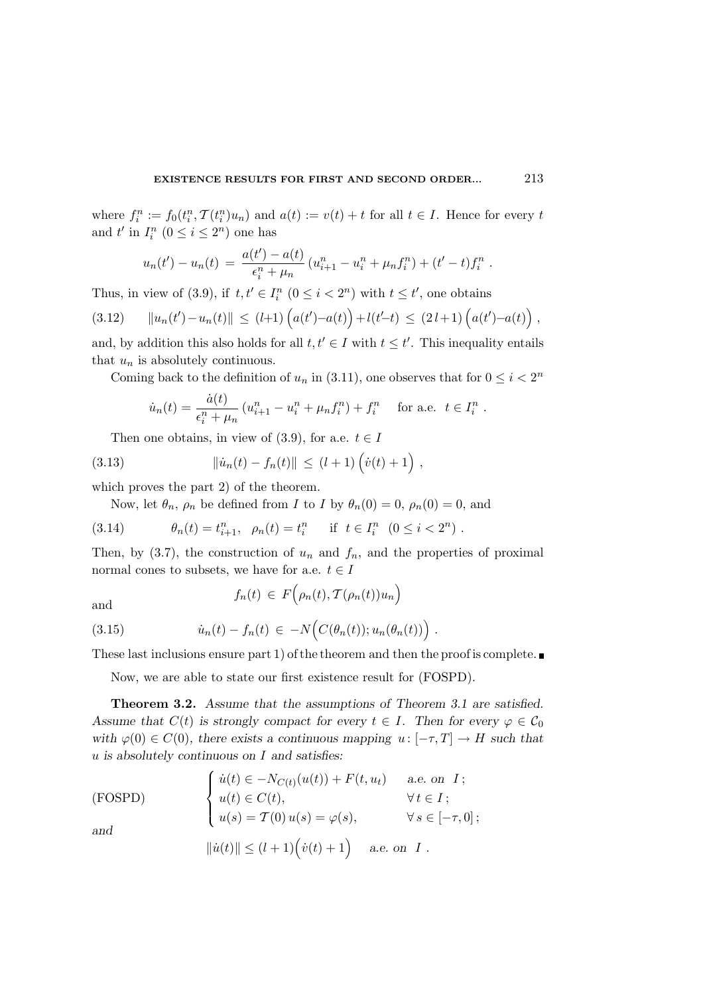where  $f_i^n := f_0(t_i^n, \mathcal{T}(t_i^n)u_n)$  and  $a(t) := v(t) + t$  for all  $t \in I$ . Hence for every t and  $t'$  in  $I_i^n$   $(0 \le i \le 2^n)$  one has

$$
u_n(t') - u_n(t) = \frac{a(t') - a(t)}{\epsilon_i^n + \mu_n} (u_{i+1}^n - u_i^n + \mu_n f_i^n) + (t' - t) f_i^n.
$$

Thus, in view of (3.9), if  $t, t' \in I_i^n$   $(0 \le i < 2^n)$  with  $t \le t'$ , one obtains

$$
(3.12) \qquad ||u_n(t') - u_n(t)|| \le (l+1) \left( a(t') - a(t) \right) + l(t'-t) \le (2 l+1) \left( a(t') - a(t) \right),
$$

and, by addition this also holds for all  $t, t' \in I$  with  $t \leq t'$ . This inequality entails that  $u_n$  is absolutely continuous.

Coming back to the definition of  $u_n$  in (3.11), one observes that for  $0 \leq i < 2^n$ 

$$
\dot{u}_n(t) = \frac{\dot{a}(t)}{\epsilon_i^n + \mu_n} \left( u_{i+1}^n - u_i^n + \mu_n f_i^n \right) + f_i^n \quad \text{for a.e. } t \in I_i^n.
$$

Then one obtains, in view of (3.9), for a.e.  $t \in I$ 

(3.13) 
$$
\| \dot{u}_n(t) - f_n(t) \| \le (l+1) \left( \dot{v}(t) + 1 \right),
$$

which proves the part 2) of the theorem.

Now, let  $\theta_n$ ,  $\rho_n$  be defined from *I* to *I* by  $\theta_n(0) = 0$ ,  $\rho_n(0) = 0$ , and

(3.14) 
$$
\theta_n(t) = t_{i+1}^n, \ \rho_n(t) = t_i^n \quad \text{if } t \in I_i^n \ (0 \le i < 2^n).
$$

Then, by  $(3.7)$ , the construction of  $u_n$  and  $f_n$ , and the properties of proximal normal cones to subsets, we have for a.e.  $t \in I$ 

and

$$
f_n(t) \in F(\rho_n(t), \mathcal{T}(\rho_n(t))u_n)
$$

(3.15) 
$$
\dot{u}_n(t) - f_n(t) \in -N\Big(C(\theta_n(t)); u_n(\theta_n(t))\Big).
$$

These last inclusions ensure part 1) of the theorem and then the proof is complete.

Now, we are able to state our first existence result for (FOSPD).

Theorem 3.2. Assume that the assumptions of Theorem 3.1 are satisfied. Assume that  $C(t)$  is strongly compact for every  $t \in I$ . Then for every  $\varphi \in C_0$ with  $\varphi(0) \in C(0)$ , there exists a continuous mapping  $u : [-\tau, T] \to H$  such that  $u$  is absolutely continuous on  $I$  and satisfies:

(FOSPD) 
$$
\begin{cases} \n\dot{u}(t) \in -N_{C(t)}(u(t)) + F(t, u_t) & \text{a.e. on } I; \\
u(t) \in C(t), & \forall t \in I; \\
u(s) = T(0) u(s) = \varphi(s), & \forall s \in [-\tau, 0];\n\end{cases}
$$
\nand

$$
\|\dot{u}(t)\| \le (l+1)\left(\dot{v}(t)+1\right) \quad \text{a.e. on } I.
$$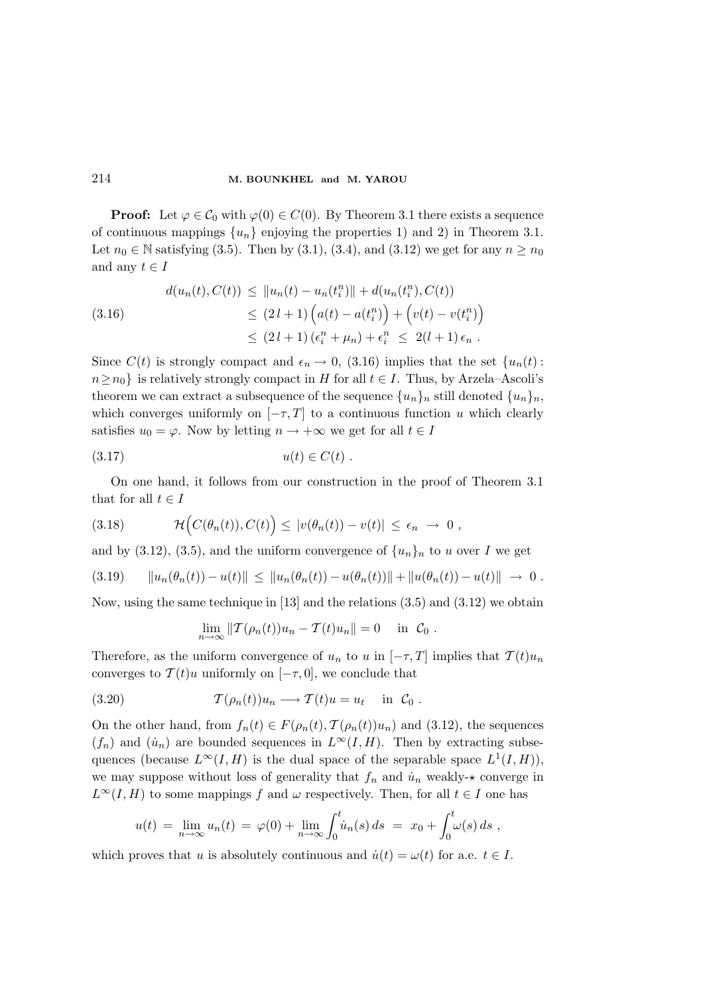**Proof:** Let  $\varphi \in C_0$  with  $\varphi(0) \in C(0)$ . By Theorem 3.1 there exists a sequence of continuous mappings  $\{u_n\}$  enjoying the properties 1) and 2) in Theorem 3.1. Let  $n_0 \in \mathbb{N}$  satisfying (3.5). Then by (3.1), (3.4), and (3.12) we get for any  $n \ge n_0$ and any  $t \in I$ 

(3.16)  

$$
d(u_n(t), C(t)) \le ||u_n(t) - u_n(t_i^n)|| + d(u_n(t_i^n), C(t))
$$

$$
\le (2 l + 1) \left( a(t) - a(t_i^n) \right) + \left( v(t) - v(t_i^n) \right)
$$

$$
\le (2 l + 1) (\epsilon_i^n + \mu_n) + \epsilon_i^n \le 2(l + 1) \epsilon_n.
$$

Since  $C(t)$  is strongly compact and  $\epsilon_n \to 0$ , (3.16) implies that the set  $\{u_n(t):$  $n \ge n_0$  is relatively strongly compact in H for all  $t \in I$ . Thus, by Arzela–Ascoli's theorem we can extract a subsequence of the sequence  ${u_n}_n$  still denoted  ${u_n}_n$ , which converges uniformly on  $[-\tau, T]$  to a continuous function u which clearly satisfies  $u_0 = \varphi$ . Now by letting  $n \to +\infty$  we get for all  $t \in I$ 

$$
(3.17) \t\t u(t) \in C(t) .
$$

On one hand, it follows from our construction in the proof of Theorem 3.1 that for all  $t \in I$ 

(3.18) 
$$
\mathcal{H}\Big(C(\theta_n(t)), C(t)\Big) \leq |v(\theta_n(t)) - v(t)| \leq \epsilon_n \to 0,
$$

and by (3.12), (3.5), and the uniform convergence of  $\{u_n\}_n$  to u over I we get

$$
(3.19) \qquad ||u_n(\theta_n(t)) - u(t)|| \le ||u_n(\theta_n(t)) - u(\theta_n(t))|| + ||u(\theta_n(t)) - u(t)|| \to 0.
$$

Now, using the same technique in [13] and the relations (3.5) and (3.12) we obtain

$$
\lim_{n \to \infty} ||\mathcal{T}(\rho_n(t))u_n - \mathcal{T}(t)u_n|| = 0 \quad \text{in} \quad \mathcal{C}_0.
$$

Therefore, as the uniform convergence of  $u_n$  to u in  $[-\tau, T]$  implies that  $T(t)u_n$ converges to  $\mathcal{T}(t)u$  uniformly on  $[-\tau,0]$ , we conclude that

(3.20) 
$$
\mathcal{T}(\rho_n(t))u_n \longrightarrow \mathcal{T}(t)u = u_t \quad \text{in } \mathcal{C}_0.
$$

On the other hand, from  $f_n(t) \in F(\rho_n(t), \mathcal{T}(\rho_n(t))u_n)$  and (3.12), the sequences  $(f_n)$  and  $(\dot{u}_n)$  are bounded sequences in  $L^{\infty}(I, H)$ . Then by extracting subsequences (because  $L^{\infty}(I, H)$  is the dual space of the separable space  $L^{1}(I, H)$ ), we may suppose without loss of generality that  $f_n$  and  $\dot{u}_n$  weakly- $\star$  converge in  $L^{\infty}(I, H)$  to some mappings f and  $\omega$  respectively. Then, for all  $t \in I$  one has

$$
u(t) = \lim_{n \to \infty} u_n(t) = \varphi(0) + \lim_{n \to \infty} \int_0^t \dot{u}_n(s) ds = x_0 + \int_0^t \omega(s) ds,
$$

which proves that u is absolutely continuous and  $\dot{u}(t) = \omega(t)$  for a.e.  $t \in I$ .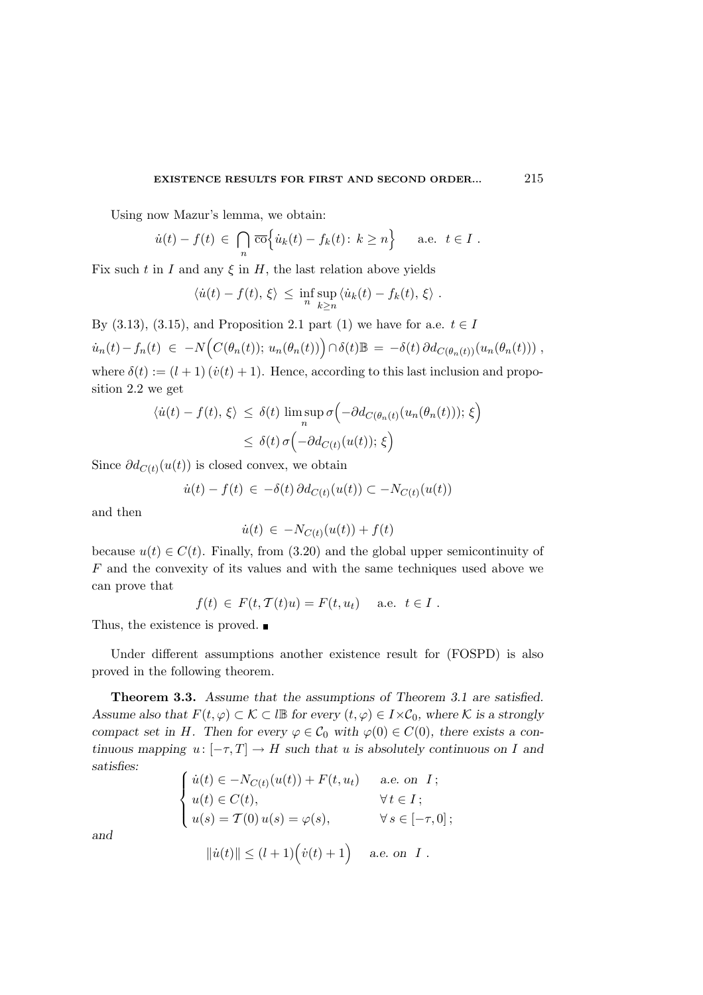Using now Mazur's lemma, we obtain:

$$
\dot{u}(t) - f(t) \in \bigcap_n \overline{\text{co}}\Big\{\dot{u}_k(t) - f_k(t): k \ge n\Big\}
$$
 a.e.  $t \in I$ .

Fix such t in I and any  $\xi$  in H, the last relation above yields

$$
\langle \dot{u}(t) - f(t), \xi \rangle \leq \inf_{n} \sup_{k \geq n} \langle \dot{u}_k(t) - f_k(t), \xi \rangle.
$$

By (3.13), (3.15), and Proposition 2.1 part (1) we have for a.e.  $t \in I$ 

 $\dot{u}_n(t) - f_n(t) \ \in \ -N \Big( C(\theta_n(t)); \ u_n(\theta_n(t)) \Big) \cap \delta(t) \mathbb{B} \ = \ -\delta(t) \, \partial d_{C(\theta_n(t))}(u_n(\theta_n(t))) \ ,$ where  $\delta(t) := (l+1)(\dot{v}(t)+1)$ . Hence, according to this last inclusion and proposition 2.2 we get

$$
\langle \dot{u}(t) - f(t), \xi \rangle \leq \delta(t) \limsup_{n} \sigma \left( -\partial d_{C(\theta_n(t))}(u_n(\theta_n(t))) ; \xi \right)
$$
  

$$
\leq \delta(t) \sigma \left( -\partial d_{C(t)}(u(t)) ; \xi \right)
$$

Since  $\partial d_{C(t)}(u(t))$  is closed convex, we obtain

$$
\dot{u}(t) - f(t) \in -\delta(t) \, \partial d_{C(t)}(u(t)) \subset -N_{C(t)}(u(t))
$$

and then

$$
\dot{u}(t) \in -N_{C(t)}(u(t)) + f(t)
$$

because  $u(t) \in C(t)$ . Finally, from (3.20) and the global upper semicontinuity of F and the convexity of its values and with the same techniques used above we can prove that

$$
f(t) \in F(t, \mathcal{T}(t)u) = F(t, u_t) \quad \text{a.e. } t \in I.
$$

Thus, the existence is proved. ■

Under different assumptions another existence result for (FOSPD) is also proved in the following theorem.

Theorem 3.3. Assume that the assumptions of Theorem 3.1 are satisfied. Assume also that  $F(t, \varphi) \subset \mathcal{K} \subset l\mathbb{B}$  for every  $(t, \varphi) \in I \times \mathcal{C}_0$ , where K is a strongly compact set in H. Then for every  $\varphi \in C_0$  with  $\varphi(0) \in C(0)$ , there exists a continuous mapping  $u: [-\tau, T] \to H$  such that u is absolutely continuous on I and satisfies:

$$
\begin{cases}\n\dot{u}(t) \in -N_{C(t)}(u(t)) + F(t, u_t) & \text{a.e. on } I; \\
u(t) \in C(t), & \forall t \in I; \\
u(s) = T(0) u(s) = \varphi(s), & \forall s \in [-\tau, 0];\n\end{cases}
$$
\n
$$
\|\dot{u}(t)\| \leq (l+1) \left(\dot{v}(t) + 1\right) \quad \text{a.e. on } I.
$$

and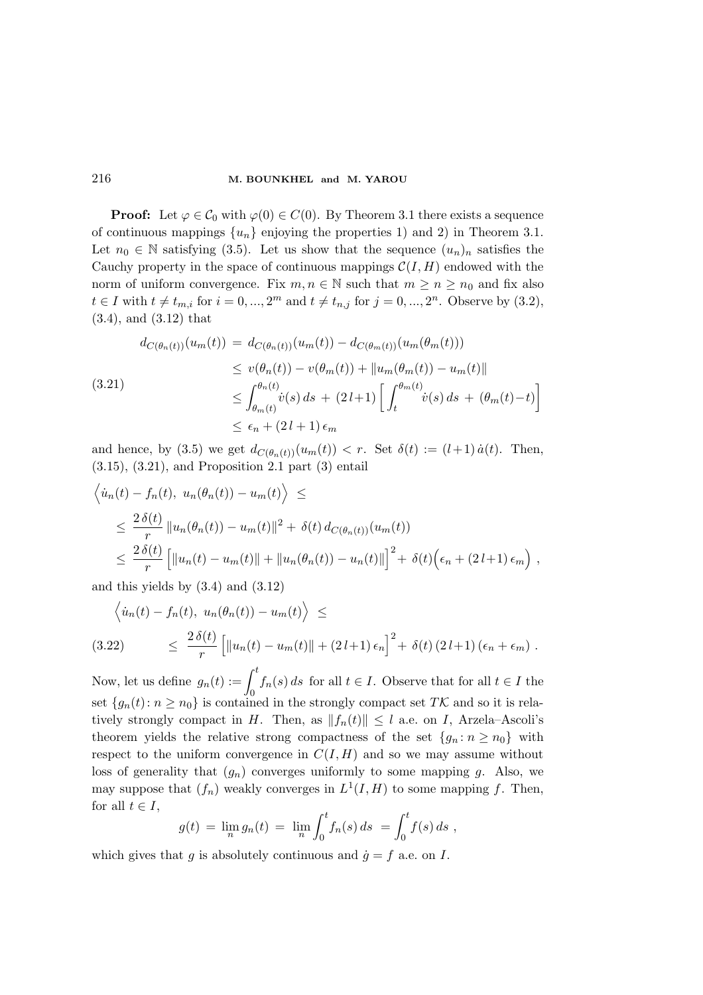**Proof:** Let  $\varphi \in C_0$  with  $\varphi(0) \in C(0)$ . By Theorem 3.1 there exists a sequence of continuous mappings  $\{u_n\}$  enjoying the properties 1) and 2) in Theorem 3.1. Let  $n_0 \in \mathbb{N}$  satisfying (3.5). Let us show that the sequence  $(u_n)_n$  satisfies the Cauchy property in the space of continuous mappings  $\mathcal{C}(I, H)$  endowed with the norm of uniform convergence. Fix  $m, n \in \mathbb{N}$  such that  $m \geq n \geq n_0$  and fix also  $t \in I$  with  $t \neq t_{m,i}$  for  $i = 0, ..., 2^m$  and  $t \neq t_{n,j}$  for  $j = 0, ..., 2^n$ . Observe by  $(3.2)$ , (3.4), and (3.12) that

$$
d_{C(\theta_n(t))}(u_m(t)) = d_{C(\theta_n(t))}(u_m(t)) - d_{C(\theta_m(t))}(u_m(\theta_m(t)))
$$
  
\n
$$
\leq v(\theta_n(t)) - v(\theta_m(t)) + ||u_m(\theta_m(t)) - u_m(t)||
$$
  
\n
$$
\leq \int_{\theta_m(t)}^{\theta_n(t)} \dot{v}(s) ds + (2l+1) \left[ \int_t^{\theta_m(t)} \dot{v}(s) ds + (\theta_m(t) - t) \right]
$$
  
\n
$$
\leq \epsilon_n + (2l+1) \epsilon_m
$$

and hence, by (3.5) we get  $d_{C(\theta_n(t))}(u_m(t)) < r$ . Set  $\delta(t) := (l+1) \dot{a}(t)$ . Then, (3.15), (3.21), and Proposition 2.1 part (3) entail

$$
\langle \dot{u}_n(t) - f_n(t), u_n(\theta_n(t)) - u_m(t) \rangle \le
$$
  
\n
$$
\leq \frac{2 \delta(t)}{r} ||u_n(\theta_n(t)) - u_m(t)||^2 + \delta(t) d_{C(\theta_n(t))}(u_m(t))
$$
  
\n
$$
\leq \frac{2 \delta(t)}{r} [||u_n(t) - u_m(t)|| + ||u_n(\theta_n(t)) - u_n(t)||]^2 + \delta(t) (\epsilon_n + (2l+1) \epsilon_m),
$$

and this yields by  $(3.4)$  and  $(3.12)$ 

$$
\langle \dot{u}_n(t) - f_n(t), u_n(\theta_n(t)) - u_m(t) \rangle \le
$$
  
(3.22) 
$$
\leq \frac{2 \delta(t)}{r} \Big[ ||u_n(t) - u_m(t)|| + (2l+1) \epsilon_n \Big]^2 + \delta(t) (2l+1) (\epsilon_n + \epsilon_m).
$$

Now, let us define  $g_n(t) := \int_0^t f_n(s) ds$  for all  $t \in I$ . Observe that for all  $t \in I$  the set  $\{g_n(t): n \geq n_0\}$  is contained in the strongly compact set TK and so it is relatively strongly compact in H. Then, as  $||f_n(t)|| \leq l$  a.e. on I, Arzela–Ascoli's theorem yields the relative strong compactness of the set  ${g_n : n \ge n_0}$  with respect to the uniform convergence in  $C(I, H)$  and so we may assume without loss of generality that  $(q_n)$  converges uniformly to some mapping q. Also, we may suppose that  $(f_n)$  weakly converges in  $L^1(I, H)$  to some mapping f. Then, for all  $t \in I$ ,

$$
g(t) = \lim_{n} g_n(t) = \lim_{n} \int_0^t f_n(s) \, ds = \int_0^t f(s) \, ds,
$$

which gives that g is absolutely continuous and  $\dot{g} = f$  a.e. on I.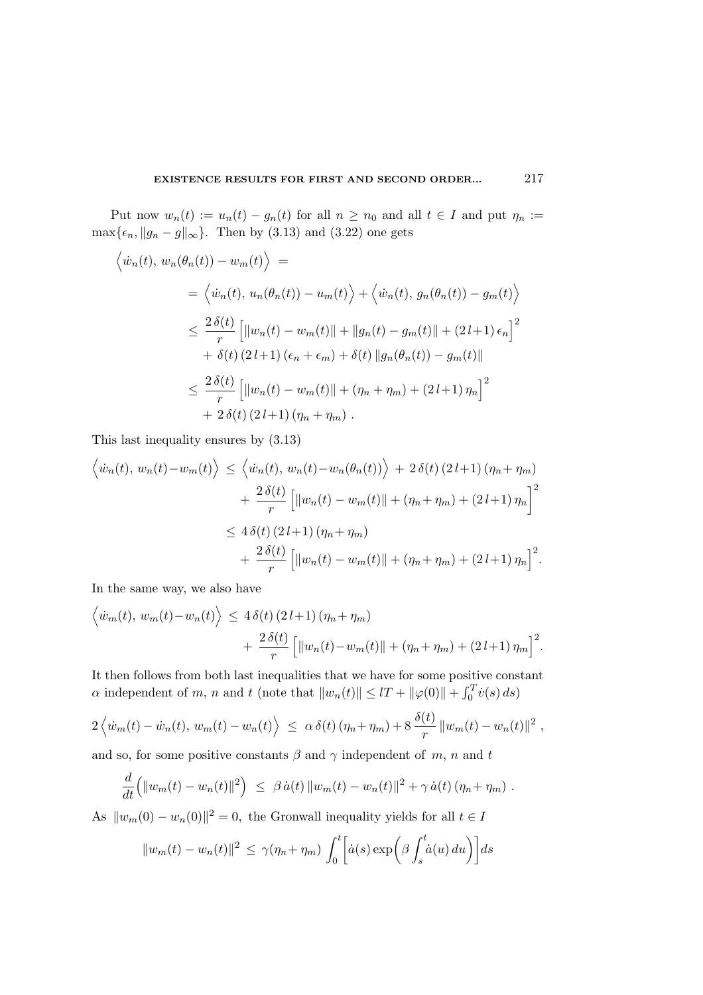Put now  $w_n(t) := u_n(t) - g_n(t)$  for all  $n \geq n_0$  and all  $t \in I$  and put  $\eta_n :=$ max $\{\epsilon_n, \|g_n - g\|_{\infty}\}$ . Then by (3.13) and (3.22) one gets

$$
\langle \dot{w}_n(t), w_n(\theta_n(t)) - w_m(t) \rangle =
$$
  
\n
$$
= \langle \dot{w}_n(t), u_n(\theta_n(t)) - u_m(t) \rangle + \langle \dot{w}_n(t), g_n(\theta_n(t)) - g_m(t) \rangle
$$
  
\n
$$
\leq \frac{2 \delta(t)}{r} \left[ ||w_n(t) - w_m(t)|| + ||g_n(t) - g_m(t)|| + (2l+1) \epsilon_n \right]^2
$$
  
\n
$$
+ \delta(t) (2l+1) (\epsilon_n + \epsilon_m) + \delta(t) ||g_n(\theta_n(t)) - g_m(t)||
$$
  
\n
$$
\leq \frac{2 \delta(t)}{r} \left[ ||w_n(t) - w_m(t)|| + (\eta_n + \eta_m) + (2l+1) \eta_n \right]^2
$$
  
\n
$$
+ 2 \delta(t) (2l+1) (\eta_n + \eta_m).
$$

This last inequality ensures by (3.13)

$$
\left\langle \dot{w}_n(t), w_n(t) - w_m(t) \right\rangle \le \left\langle \dot{w}_n(t), w_n(t) - w_n(\theta_n(t)) \right\rangle + 2 \delta(t) (2l+1) (\eta_n + \eta_m)
$$

$$
+ \frac{2 \delta(t)}{r} \left[ \left\| w_n(t) - w_m(t) \right\| + (\eta_n + \eta_m) + (2l+1) \eta_n \right]^2
$$

$$
\le 4 \delta(t) (2l+1) (\eta_n + \eta_m)
$$

$$
+ \frac{2 \delta(t)}{r} \left[ \left\| w_n(t) - w_m(t) \right\| + (\eta_n + \eta_m) + (2l+1) \eta_n \right]^2.
$$

In the same way, we also have

d

 $\mathbf{E}$ 

$$
\langle \dot{w}_m(t), w_m(t) - w_n(t) \rangle \le 4 \delta(t) (2 l + 1) (\eta_n + \eta_m)
$$
  
+ 
$$
\frac{2 \delta(t)}{r} \left[ ||w_n(t) - w_m(t)|| + (\eta_n + \eta_m) + (2 l + 1) \eta_m \right]^2.
$$

It then follows from both last inequalities that we have for some positive constant  $\alpha$  independent of m, n and t (note that  $||w_n(t)|| \leq lT + ||\varphi(0)|| + \int_0^T \dot{v}(s) ds$ )

$$
2\left\langle \dot{w}_m(t)-\dot{w}_n(t), w_m(t)-w_n(t)\right\rangle \leq \alpha \delta(t) \left(\eta_n+\eta_m\right)+8 \frac{\delta(t)}{r} \|w_m(t)-w_n(t)\|^2,
$$

and so, for some positive constants  $\beta$  and  $\gamma$  independent of m, n and t

$$
\frac{d}{dt} \left( \Vert w_m(t) - w_n(t) \Vert^2 \right) \leq \beta \dot{a}(t) \Vert w_m(t) - w_n(t) \Vert^2 + \gamma \dot{a}(t) \left( \eta_n + \eta_m \right).
$$

As  $||w_m(0) - w_n(0)||^2 = 0$ , the Gronwall inequality yields for all  $t \in I$ 

$$
||w_m(t) - w_n(t)||^2 \le \gamma(\eta_n + \eta_m) \int_0^t \left[ \dot{a}(s) \exp\left(\beta \int_s^t \dot{a}(u) \, du\right) \right] ds
$$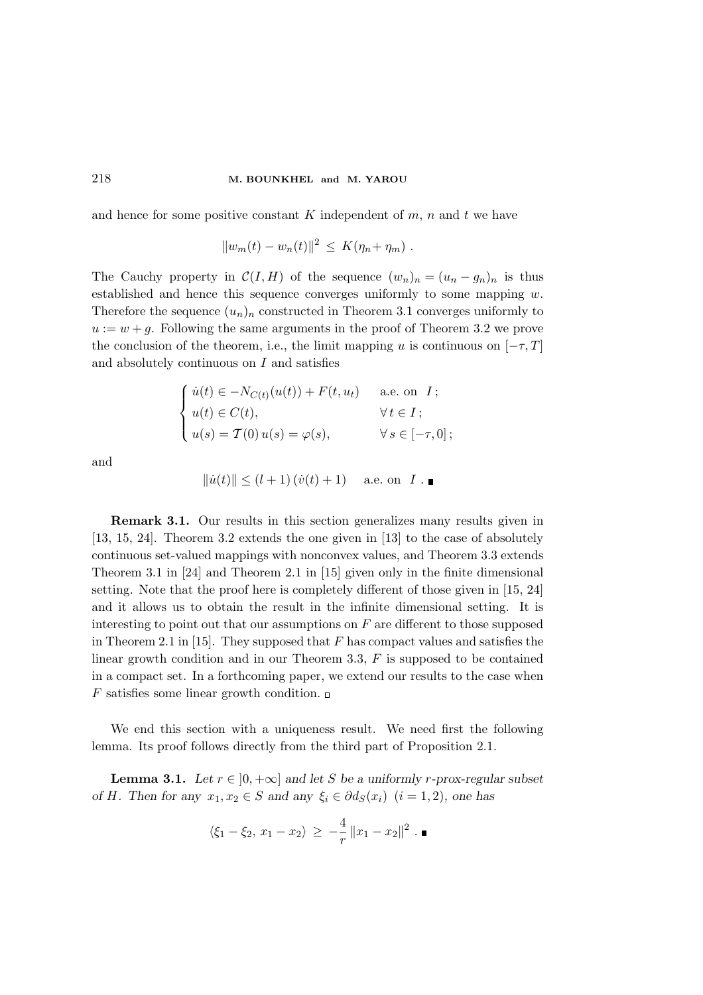and hence for some positive constant K independent of  $m$ ,  $n$  and  $t$  we have

$$
||w_m(t) - w_n(t)||^2 \le K(\eta_n + \eta_m) .
$$

The Cauchy property in  $\mathcal{C}(I, H)$  of the sequence  $(w_n)_n = (u_n - g_n)_n$  is thus established and hence this sequence converges uniformly to some mapping  $w$ . Therefore the sequence  $(u_n)_n$  constructed in Theorem 3.1 converges uniformly to  $u := w + g$ . Following the same arguments in the proof of Theorem 3.2 we prove the conclusion of the theorem, i.e., the limit mapping u is continuous on  $[-\tau, T]$ and absolutely continuous on  $I$  and satisfies

$$
\begin{cases}\n\dot{u}(t) \in -N_{C(t)}(u(t)) + F(t, u_t) & \text{a.e. on } I; \\
u(t) \in C(t), & \forall t \in I; \\
u(s) = T(0) u(s) = \varphi(s), & \forall s \in [-\tau, 0];\n\end{cases}
$$

and

$$
\|\dot{u}(t)\| \le (l+1)(\dot{v}(t)+1) \quad \text{a.e. on } I \ . \blacksquare
$$

Remark 3.1. Our results in this section generalizes many results given in [13, 15, 24]. Theorem 3.2 extends the one given in [13] to the case of absolutely continuous set-valued mappings with nonconvex values, and Theorem 3.3 extends Theorem 3.1 in [24] and Theorem 2.1 in [15] given only in the finite dimensional setting. Note that the proof here is completely different of those given in [15, 24] and it allows us to obtain the result in the infinite dimensional setting. It is interesting to point out that our assumptions on  $F$  are different to those supposed in Theorem 2.1 in [15]. They supposed that  $F$  has compact values and satisfies the linear growth condition and in our Theorem 3.3,  $F$  is supposed to be contained in a compact set. In a forthcoming paper, we extend our results to the case when F satisfies some linear growth condition.  $\square$ 

We end this section with a uniqueness result. We need first the following lemma. Its proof follows directly from the third part of Proposition 2.1.

**Lemma 3.1.** Let  $r \in [0, +\infty]$  and let S be a uniformly r-prox-regular subset of H. Then for any  $x_1, x_2 \in S$  and any  $\xi_i \in \partial dg(x_i)$   $(i = 1, 2)$ , one has

$$
\langle \xi_1 - \xi_2, x_1 - x_2 \rangle \ge -\frac{4}{r} ||x_1 - x_2||^2
$$
.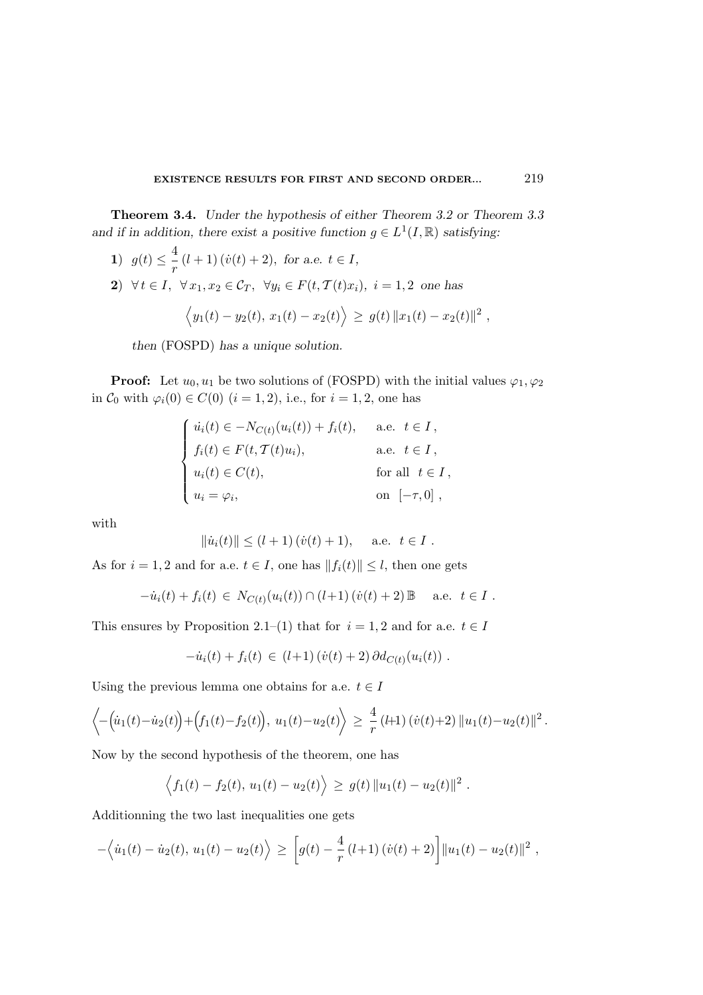Theorem 3.4. Under the hypothesis of either Theorem 3.2 or Theorem 3.3 and if in addition, there exist a positive function  $g \in L^1(I, \mathbb{R})$  satisfying:

- 1)  $g(t) \leq \frac{4}{t}$  $\frac{1}{r}(l+1)(\dot{v}(t)+2)$ , for a.e.  $t \in I$ ,
- 2)  $\forall t \in I, \ \forall x_1, x_2 \in \mathcal{C}_T, \ \forall y_i \in F(t, \mathcal{T}(t)x_i), i = 1, 2$  one has

$$
\langle y_1(t) - y_2(t), x_1(t) - x_2(t) \rangle \ge g(t) ||x_1(t) - x_2(t)||^2
$$
,

then (FOSPD) has a unique solution.

**Proof:** Let  $u_0, u_1$  be two solutions of (FOSPD) with the initial values  $\varphi_1, \varphi_2$ in  $C_0$  with  $\varphi_i(0) \in C(0)$   $(i = 1, 2)$ , i.e., for  $i = 1, 2$ , one has

$$
\begin{cases}\n\dot{u}_i(t) \in -N_{C(t)}(u_i(t)) + f_i(t), & \text{a.e. } t \in I, \\
f_i(t) \in F(t, T(t)u_i), & \text{a.e. } t \in I, \\
u_i(t) \in C(t), & \text{for all } t \in I, \\
u_i = \varphi_i, & \text{on } [-\tau, 0],\n\end{cases}
$$

with

$$
\|\dot{u}_i(t)\| \le (l+1) \, (\dot{v}(t) + 1), \quad \text{a.e. } t \in I.
$$

As for  $i = 1, 2$  and for a.e.  $t \in I$ , one has  $||f_i(t)|| \leq l$ , then one gets

$$
-\dot{u}_i(t) + f_i(t) \in N_{C(t)}(u_i(t)) \cap (l+1) (\dot{v}(t) + 2) \mathbb{B} \quad \text{a.e. } t \in I.
$$

This ensures by Proposition 2.1–(1) that for  $i = 1, 2$  and for a.e.  $t \in I$ 

$$
- \dot{u}_i(t) + f_i(t) \in (l+1) (\dot{v}(t) + 2) \partial d_{C(t)}(u_i(t)) .
$$

Using the previous lemma one obtains for a.e.  $t \in I$ 

$$
\left\langle -\left(\dot{u}_1(t)-\dot{u}_2(t)\right)+\left(f_1(t)-f_2(t)\right), u_1(t)-u_2(t)\right\rangle \geq \frac{4}{r} \left(1+1\right) \left(\dot{v}(t)+2\right) \|u_1(t)-u_2(t)\|^2.
$$

Now by the second hypothesis of the theorem, one has

$$
\langle f_1(t) - f_2(t), u_1(t) - u_2(t) \rangle \ge g(t) ||u_1(t) - u_2(t)||^2
$$
.

Additionning the two last inequalities one gets

$$
-\langle \dot{u}_1(t) - \dot{u}_2(t), u_1(t) - u_2(t) \rangle \geq \left[ g(t) - \frac{4}{r} (l+1) (\dot{v}(t) + 2) \right] ||u_1(t) - u_2(t)||^2,
$$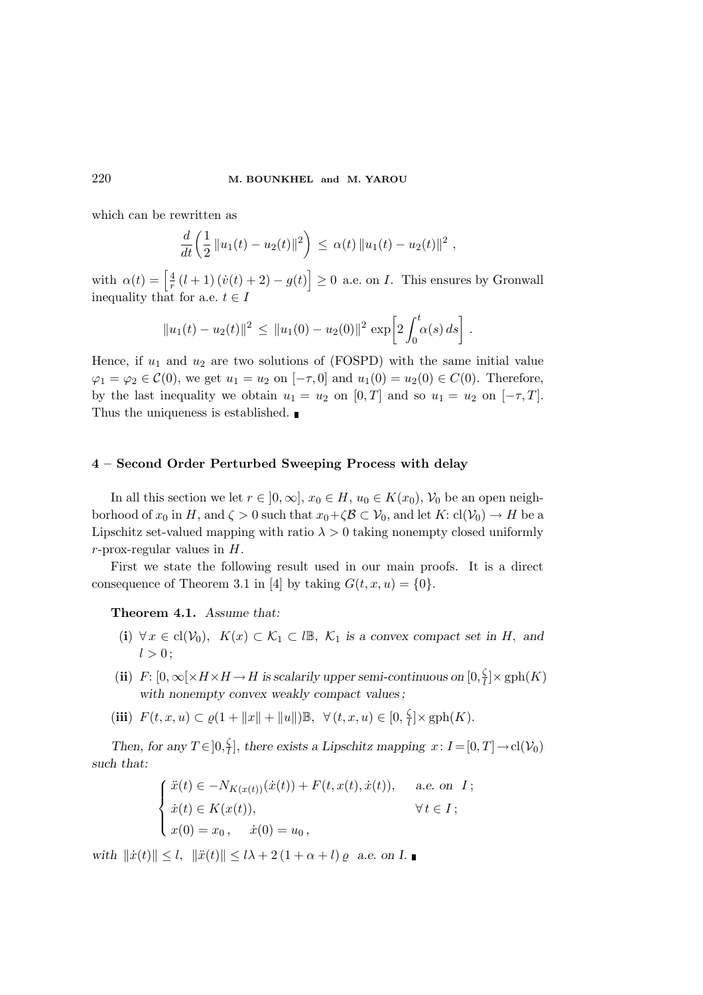which can be rewritten as

$$
\frac{d}{dt}\left(\frac{1}{2}\|u_1(t)-u_2(t)\|^2\right)\,\leq\,\alpha(t)\,\|u_1(t)-u_2(t)\|^2\;,
$$

with  $\alpha(t) = \left| \frac{4}{r} (l+1)(\dot{v}(t) + 2) - g(t) \right| \ge 0$  a.e. on *I*. This ensures by Gronwall inequality that for a.e.  $t \in I$ 

$$
||u_1(t) - u_2(t)||^2 \le ||u_1(0) - u_2(0)||^2 \exp \left[ 2 \int_0^t \alpha(s) \, ds \right].
$$

Hence, if  $u_1$  and  $u_2$  are two solutions of (FOSPD) with the same initial value  $\varphi_1 = \varphi_2 \in \mathcal{C}(0)$ , we get  $u_1 = u_2$  on  $[-\tau, 0]$  and  $u_1(0) = u_2(0) \in C(0)$ . Therefore, by the last inequality we obtain  $u_1 = u_2$  on  $[0, T]$  and so  $u_1 = u_2$  on  $[-\tau, T]$ . Thus the uniqueness is established.

# 4 – Second Order Perturbed Sweeping Process with delay

In all this section we let  $r \in [0,\infty], x_0 \in H$ ,  $u_0 \in K(x_0), V_0$  be an open neighborhood of  $x_0$  in H, and  $\zeta > 0$  such that  $x_0 + \zeta \mathcal{B} \subset \mathcal{V}_0$ , and let  $K: cl(\mathcal{V}_0) \to H$  be a Lipschitz set-valued mapping with ratio  $\lambda > 0$  taking nonempty closed uniformly  $r$ -prox-regular values in  $H$ .

First we state the following result used in our main proofs. It is a direct consequence of Theorem 3.1 in [4] by taking  $G(t, x, u) = \{0\}.$ 

Theorem 4.1. Assume that:

- (i)  $\forall x \in cl(\mathcal{V}_0)$ ,  $K(x) \subset \mathcal{K}_1 \subset l\mathbb{B}$ ,  $\mathcal{K}_1$  is a convex compact set in H, and  $l > 0$ :
- (ii) F:  $[0, \infty[ \times H \times H \to H]$  is scalarily upper semi-continuous on  $[0, \frac{\zeta}{l}]$  $\frac{Q}{l}$   $\times$  gph $(K)$ with nonempty convex weakly compact values;
- (iii)  $F(t, x, u) \subset \varrho(1 + ||x|| + ||u||) \mathbb{B}, \forall (t, x, u) \in [0, \frac{\zeta}{t}]$  $\frac{S}{l}$  |  $\times$  gph( $K$ ).

Then, for any  $T \in ]0, \frac{\zeta}{l}$  $\frac{1}{l}$ , there exists a Lipschitz mapping  $x: I = [0, T] \rightarrow cl(\mathcal{V}_0)$ such that:

$$
\begin{cases}\n\ddot{x}(t) \in -N_{K(x(t))}(\dot{x}(t)) + F(t, x(t), \dot{x}(t)), & \text{a.e. on } I; \\
\dot{x}(t) \in K(x(t)), & \forall t \in I; \\
x(0) = x_0, & \dot{x}(0) = u_0,\n\end{cases}
$$

with  $\|\dot{x}(t)\| \leq l$ ,  $\|\ddot{x}(t)\| \leq l\lambda + 2(1 + \alpha + l) \varrho$  a.e. on I.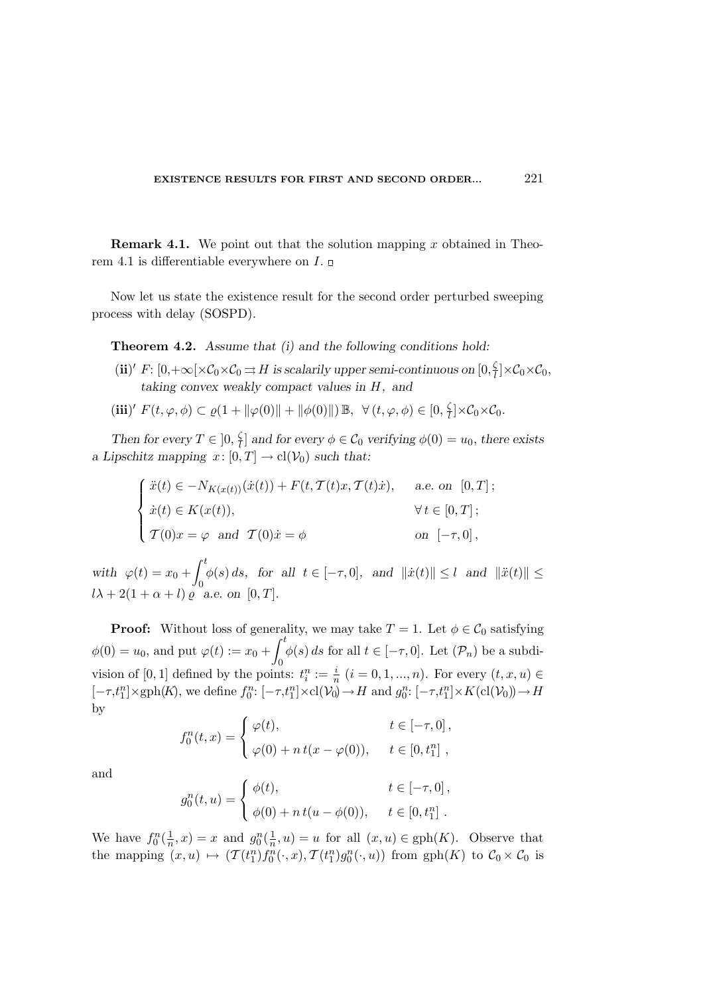**Remark 4.1.** We point out that the solution mapping x obtained in Theorem 4.1 is differentiable everywhere on  $I$ .

Now let us state the existence result for the second order perturbed sweeping process with delay (SOSPD).

Theorem 4.2. Assume that (i) and the following conditions hold:

- (ii)' F:  $[0, +\infty[\times C_0 \times C_0 \Rightarrow H]$  is scalarily upper semi-continuous on  $[0, \frac{\zeta}{l}]$  $\frac{1}{l}$   $\times$  C<sub>0</sub> $\times$  C<sub>0</sub>, taking convex weakly compact values in H, and
- (iii)'  $F(t, \varphi, \phi) \subset \varrho(1 + ||\varphi(0)|| + ||\phi(0)||) \mathbb{B}, \ \forall (t, \varphi, \phi) \in [0, \frac{\zeta}{t}]$  $\frac{1}{l}$   $\times$  C<sub>0</sub>  $\times$  C<sub>0</sub>.

Then for every  $T \in \left]0, \frac{\zeta}{l}\right]$  $\mathbb{E}_{l}^{[n]}$  and for every  $\phi \in \mathcal{C}_{0}$  verifying  $\phi(0) = u_{0}$ , there exists a Lipschitz mapping  $x: [0, T] \to cl(\mathcal{V}_0)$  such that:

$$
\begin{cases}\n\ddot{x}(t) \in -N_{K(x(t))}(\dot{x}(t)) + F(t, \mathcal{T}(t)x, \mathcal{T}(t)\dot{x}), & \text{a.e. on } [0, T]; \\
\dot{x}(t) \in K(x(t)), & \forall t \in [0, T]; \\
\mathcal{T}(0)x = \varphi \text{ and } \mathcal{T}(0)\dot{x} = \phi & \text{on } [-\tau, 0],\n\end{cases}
$$

with  $\varphi(t) = x_0 + \int_0^t$ 0  $\phi(s) ds$ , for all  $t \in [-\tau, 0]$ , and  $\|\dot{x}(t)\| \leq l$  and  $\|\ddot{x}(t)\| \leq$  $l\lambda + 2(1 + \alpha + l) \varrho$  a.e. on [0, T].

**Proof:** Without loss of generality, we may take  $T = 1$ . Let  $\phi \in C_0$  satisfying  $\phi(0) = u_0$ , and put  $\varphi(t) := x_0 + \int_0^t$  $\int_{0}^{\infty} \phi(s) ds$  for all  $t \in [-\tau, 0]$ . Let  $(\mathcal{P}_n)$  be a subdivision of [0, 1] defined by the points:  $t_i^n := \frac{i}{n}$   $(i = 0, 1, ..., n)$ . For every  $(t, x, u) \in$  $[-\tau,t_1^n]\times\text{gph}(K)$ , we define  $f_0^n: [-\tau,t_1^n]\times\text{cl}(\mathcal{V}_0)\to H$  and  $g_0^n: [-\tau,t_1^n]\times K(\text{cl}(\mathcal{V}_0))\to H$ by

$$
f_0^n(t,x) = \begin{cases} \varphi(t), & t \in [-\tau,0], \\ \varphi(0) + n t(x - \varphi(0)), & t \in [0,t_1^n], \end{cases}
$$

and

$$
g_0^n(t, u) = \begin{cases} \phi(t), & t \in [-\tau, 0], \\ \phi(0) + n t(u - \phi(0)), & t \in [0, t_1^n]. \end{cases}
$$

We have  $f_0^n(\frac{1}{n},x) = x$  and  $g_0^n(\frac{1}{n},u) = u$  for all  $(x,u) \in \text{gph}(K)$ . Observe that the mapping  $(x, u) \mapsto (T(t_1^n) f_0^n(\cdot, x), T(t_1^n) g_0^n(\cdot, u))$  from  $gph(K)$  to  $C_0 \times C_0$  is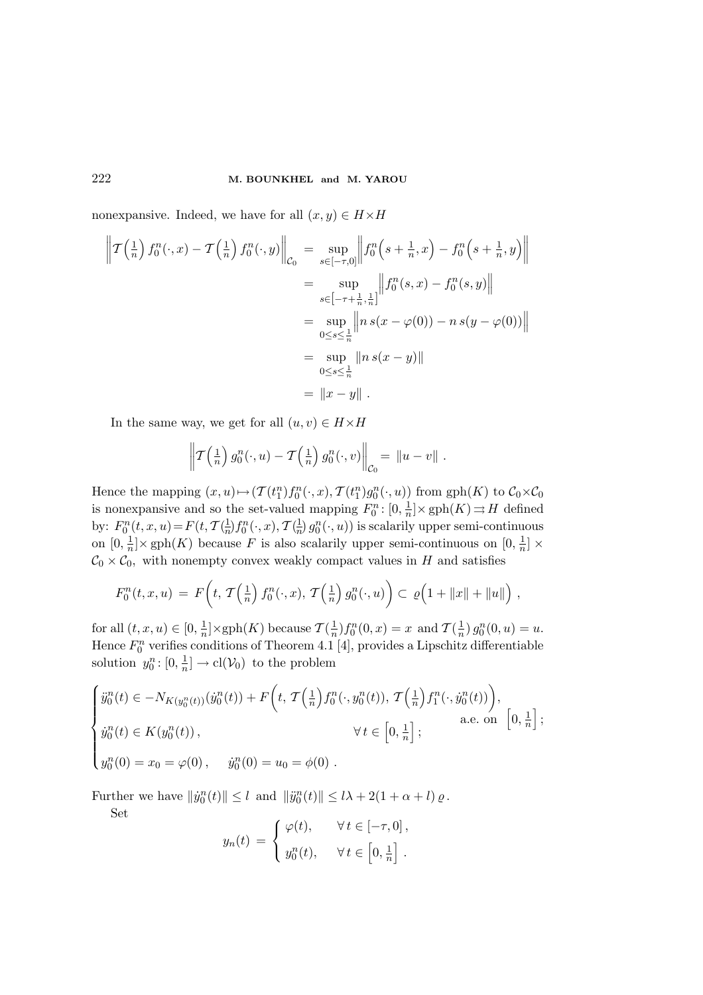nonexpansive. Indeed, we have for all  $(x, y) \in H \times H$ 

$$
\left\| T\left(\frac{1}{n}\right) f_0^n(\cdot, x) - T\left(\frac{1}{n}\right) f_0^n(\cdot, y) \right\|_{\mathcal{C}_0} = \sup_{s \in [-\tau, 0]} \left\| f_0^n\left(s + \frac{1}{n}, x\right) - f_0^n\left(s + \frac{1}{n}, y\right) \right\|
$$
  
\n
$$
= \sup_{s \in [-\tau + \frac{1}{n}, \frac{1}{n}]} \left\| f_0^n(s, x) - f_0^n(s, y) \right\|
$$
  
\n
$$
= \sup_{0 \le s \le \frac{1}{n}} \left\| n \, s(x - \varphi(0)) - n \, s(y - \varphi(0)) \right\|
$$
  
\n
$$
= \sup_{0 \le s \le \frac{1}{n}} \left\| n \, s(x - y) \right\|
$$
  
\n
$$
= \left\| x - y \right\|.
$$

In the same way, we get for all  $(u, v) \in H \times H$ 

$$
\left\| \mathcal{T}\left(\frac{1}{n}\right) g_0^n(\cdot, u) - \mathcal{T}\left(\frac{1}{n}\right) g_0^n(\cdot, v) \right\|_{\mathcal{C}_0} = \left\| u - v \right\|.
$$

Hence the mapping  $(x, u) \mapsto (T(t_1^n) f_0^n(\cdot, x), T(t_1^n) g_0^n(\cdot, u))$  from  $gph(K)$  to  $C_0 \times C_0$ is nonexpansive and so the set-valued mapping  $F_0^n: [0, \frac{1}{n}] \times \text{gph}(K) \rightrightarrows H$  defined by:  $F_0^n(t, x, u) = F(t, \mathcal{T}(\frac{1}{n}) f_0^n(\cdot, x), \mathcal{T}(\frac{1}{n}) g_0^n(\cdot, u))$  is scalarily upper semi-continuous on  $[0, \frac{1}{n}] \times \text{gph}(K)$  because F is also scalarily upper semi-continuous on  $[0, \frac{1}{n}] \times$  $C_0 \times C_0$ , with nonempty convex weakly compact values in H and satisfies

$$
F_0^n(t,x,u) = F\left(t, \mathcal{T}\left(\frac{1}{n}\right) f_0^n(\cdot,x), \mathcal{T}\left(\frac{1}{n}\right) g_0^n(\cdot,u)\right) \subset \varrho\left(1 + \|x\| + \|u\|\right),
$$

for all  $(t, x, u) \in [0, \frac{1}{n}] \times \text{gph}(K)$  because  $\mathcal{T}(\frac{1}{n}) f_0^n(0, x) = x$  and  $\mathcal{T}(\frac{1}{n}) g_0^n(0, u) = u$ . Hence  $F_0^n$  verifies conditions of Theorem 4.1 [4], provides a Lipschitz differentiable solution  $y_0^n: [0, \frac{1}{n}] \to \text{cl}(\mathcal{V}_0)$  to the problem

$$
\begin{cases}\n\ddot{y}_0^n(t) \in -N_{K(y_0^n(t))}(\dot{y}_0^n(t)) + F\left(t, \mathcal{T}\left(\frac{1}{n}\right)f_0^n(\cdot, y_0^n(t)), \mathcal{T}\left(\frac{1}{n}\right)f_1^n(\cdot, \dot{y}_0^n(t))\right), \\
\dot{y}_0^n(t) \in K(y_0^n(t)), & \forall t \in \left[0, \frac{1}{n}\right]; \\
y_0^n(0) = x_0 = \varphi(0), \quad \dot{y}_0^n(0) = u_0 = \phi(0).\n\end{cases}
$$

Further we have  $||\dot{y}_0^n(t)|| \le l$  and  $||\ddot{y}_0^n(t)|| \le l\lambda + 2(1+\alpha+l)\varrho$ .

Set

$$
y_n(t) = \begin{cases} \varphi(t), & \forall t \in [-\tau, 0], \\ y_0^n(t), & \forall t \in \left[0, \frac{1}{n}\right]. \end{cases}
$$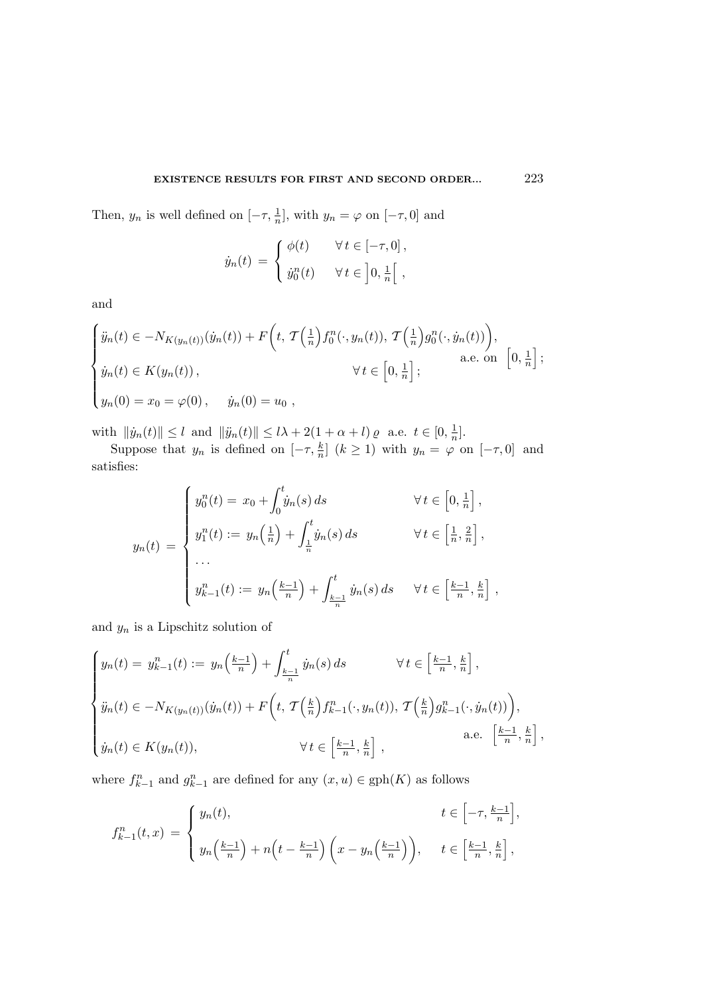### EXISTENCE RESULTS FOR FIRST AND SECOND ORDER... 223

Then,  $y_n$  is well defined on  $[-\tau, \frac{1}{n}]$ , with  $y_n = \varphi$  on  $[-\tau, 0]$  and

$$
\dot{y}_n(t) = \begin{cases} \phi(t) & \forall t \in [-\tau, 0], \\ \dot{y}_0^n(t) & \forall t \in \left]0, \frac{1}{n}\right[, \end{cases}
$$

and

$$
\begin{cases}\n\ddot{y}_n(t) \in -N_{K(y_n(t))}(\dot{y}_n(t)) + F\left(t, \mathcal{T}\left(\frac{1}{n}\right)f_0^n(\cdot, y_n(t)), \mathcal{T}\left(\frac{1}{n}\right)g_0^n(\cdot, \dot{y}_n(t))\right), \\
\dot{y}_n(t) \in K(y_n(t)), & \forall t \in \left[0, \frac{1}{n}\right];\n\end{cases}
$$
\na.e. on  $\left[0, \frac{1}{n}\right]$ ;\n
$$
y_n(0) = x_0 = \varphi(0), \quad \dot{y}_n(0) = u_0,
$$

with  $||\dot{y}_n(t)|| \le l$  and  $||\ddot{y}_n(t)|| \le l\lambda + 2(1 + \alpha + l) \varrho$  a.e.  $t \in [0, \frac{1}{n}].$ 

Suppose that  $y_n$  is defined on  $[-\tau, \frac{k}{n}]$  $\frac{k}{n}$ ]  $(k \ge 1)$  with  $y_n = \varphi$  on  $[-\tau, 0]$  and satisfies:

$$
y_n(t) = \begin{cases} y_0^n(t) = x_0 + \int_0^t \dot{y}_n(s) ds & \forall t \in \left[0, \frac{1}{n}\right], \\ y_1^n(t) := y_n\left(\frac{1}{n}\right) + \int_{\frac{1}{n}}^t \dot{y}_n(s) ds & \forall t \in \left[\frac{1}{n}, \frac{2}{n}\right], \\ \dots \\ y_{k-1}^n(t) := y_n\left(\frac{k-1}{n}\right) + \int_{\frac{k-1}{n}}^t \dot{y}_n(s) ds & \forall t \in \left[\frac{k-1}{n}, \frac{k}{n}\right], \end{cases}
$$

and  $y_n$  is a Lipschitz solution of

$$
\begin{cases}\n y_n(t) = y_{k-1}^n(t) := y_n\left(\frac{k-1}{n}\right) + \int_{\frac{k-1}{n}}^t \dot{y}_n(s) ds & \forall t \in \left[\frac{k-1}{n}, \frac{k}{n}\right], \\
 \ddot{y}_n(t) \in -N_{K(y_n(t))}(\dot{y}_n(t)) + F\left(t, \mathcal{T}\left(\frac{k}{n}\right)f_{k-1}^n(\cdot, y_n(t)), \mathcal{T}\left(\frac{k}{n}\right)g_{k-1}^n(\cdot, \dot{y}_n(t))\right), \\
 \dot{y}_n(t) \in K(y_n(t)), & \forall t \in \left[\frac{k-1}{n}, \frac{k}{n}\right],\n\end{cases}\n\text{a.e. }\n\begin{bmatrix}\n\frac{k-1}{n}, \frac{k}{n}\n\end{bmatrix},
$$

where  $f_{k-1}^n$  and  $g_{k-1}^n$  are defined for any  $(x, u) \in \text{gph}(K)$  as follows

$$
f_{k-1}^n(t,x) = \begin{cases} y_n(t), & t \in \left[-\tau, \frac{k-1}{n}\right], \\ y_n\left(\frac{k-1}{n}\right) + n\left(t - \frac{k-1}{n}\right)\left(x - y_n\left(\frac{k-1}{n}\right)\right), & t \in \left[\frac{k-1}{n}, \frac{k}{n}\right], \end{cases}
$$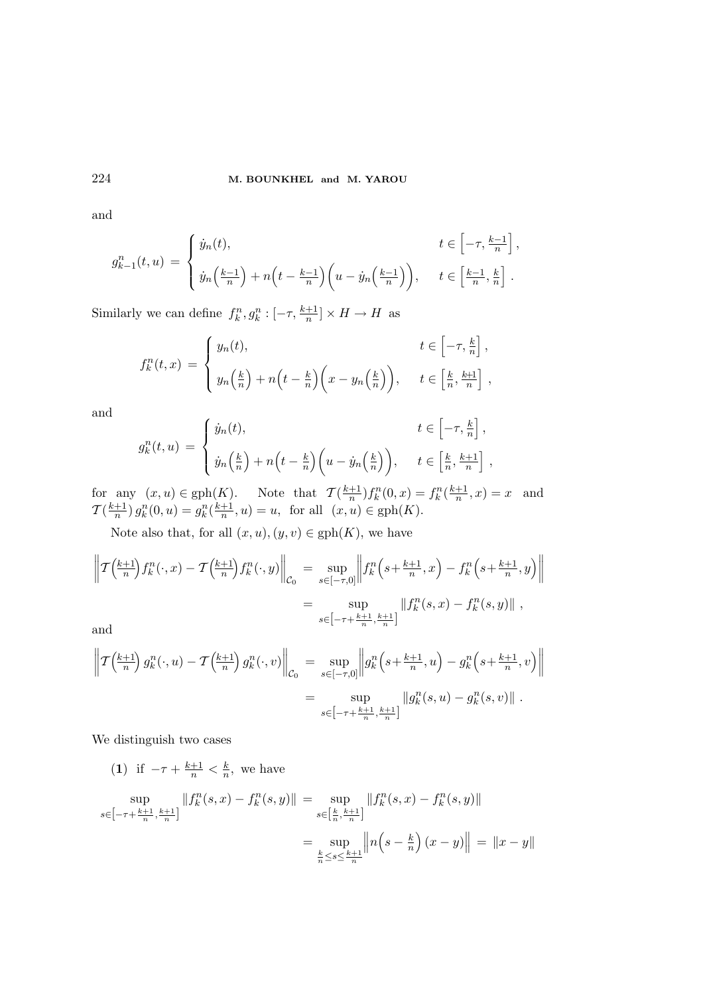and

$$
g_{k-1}^n(t, u) = \begin{cases} \dot{y}_n(t), & t \in \left[-\tau, \frac{k-1}{n}\right], \\ \dot{y}_n\left(\frac{k-1}{n}\right) + n\left(t - \frac{k-1}{n}\right)\left(u - \dot{y}_n\left(\frac{k-1}{n}\right)\right), & t \in \left[\frac{k-1}{n}, \frac{k}{n}\right]. \end{cases}
$$

Similarly we can define  $f_k^n, g_k^n : [-\tau, \frac{k+1}{n}] \times H \to H$  as

$$
f_k^n(t,x) = \begin{cases} y_n(t), & t \in \left[-\tau, \frac{k}{n}\right], \\ y_n\left(\frac{k}{n}\right) + n\left(t - \frac{k}{n}\right)\left(x - y_n\left(\frac{k}{n}\right)\right), & t \in \left[\frac{k}{n}, \frac{k+1}{n}\right], \end{cases}
$$

and

$$
g_k^n(t, u) = \begin{cases} \dot{y}_n(t), & t \in \left[-\tau, \frac{k}{n}\right], \\ \dot{y}_n\left(\frac{k}{n}\right) + n\left(t - \frac{k}{n}\right)\left(u - \dot{y}_n\left(\frac{k}{n}\right)\right), & t \in \left[\frac{k}{n}, \frac{k+1}{n}\right], \end{cases}
$$

for any  $(x, u) \in \text{gph}(K)$ . Note that  $\mathcal{T}(\frac{k+1}{n}) f_k^n(0, x) = f_k^n(\frac{k+1}{n}, x) = x$  and  $T(\frac{k+1}{n}) g_k^n(0, u) = g_k^n(\frac{k+1}{n}, u) = u$ , for all  $(x, u) \in gph(K)$ .

Note also that, for all  $(x, u), (y, v) \in \text{gph}(K)$ , we have

$$
\left\| \mathcal{T}\left(\frac{k+1}{n}\right) f_k^n(\cdot, x) - \mathcal{T}\left(\frac{k+1}{n}\right) f_k^n(\cdot, y) \right\|_{\mathcal{C}_0} = \sup_{s \in [-\tau, 0]} \left\| f_k^n\left(s + \frac{k+1}{n}, x\right) - f_k^n\left(s + \frac{k+1}{n}, y\right) \right\|
$$
  
= 
$$
\sup_{s \in [-\tau + \frac{k+1}{n}, \frac{k+1}{n}]} \left\| f_k^n(s, x) - f_k^n(s, y) \right\|,
$$
  
and

 $\epsilon$ 

$$
\left\| T\left(\frac{k+1}{n}\right) g_k^n(\cdot, u) - T\left(\frac{k+1}{n}\right) g_k^n(\cdot, v) \right\|_{\mathcal{C}_0} = \sup_{s \in [-\tau, 0]} \left\| g_k^n\left(s + \frac{k+1}{n}, u\right) - g_k^n\left(s + \frac{k+1}{n}, v\right) \right\|
$$
  
= 
$$
\sup_{s \in [-\tau + \frac{k+1}{n}, \frac{k+1}{n}]} \|g_k^n(s, u) - g_k^n(s, v)\|.
$$

We distinguish two cases

(1) if 
$$
-\tau + \frac{k+1}{n} < \frac{k}{n}
$$
, we have  
\n
$$
\sup_{s \in [-\tau + \frac{k+1}{n}, \frac{k+1}{n}]} ||f_k^n(s, x) - f_k^n(s, y)|| = \sup_{s \in [\frac{k}{n}, \frac{k+1}{n}]} ||f_k^n(s, x) - f_k^n(s, y)||
$$
\n
$$
= \sup_{\frac{k}{n} \le s \le \frac{k+1}{n}} ||n(s - \frac{k}{n})(x - y)|| = ||x - y||
$$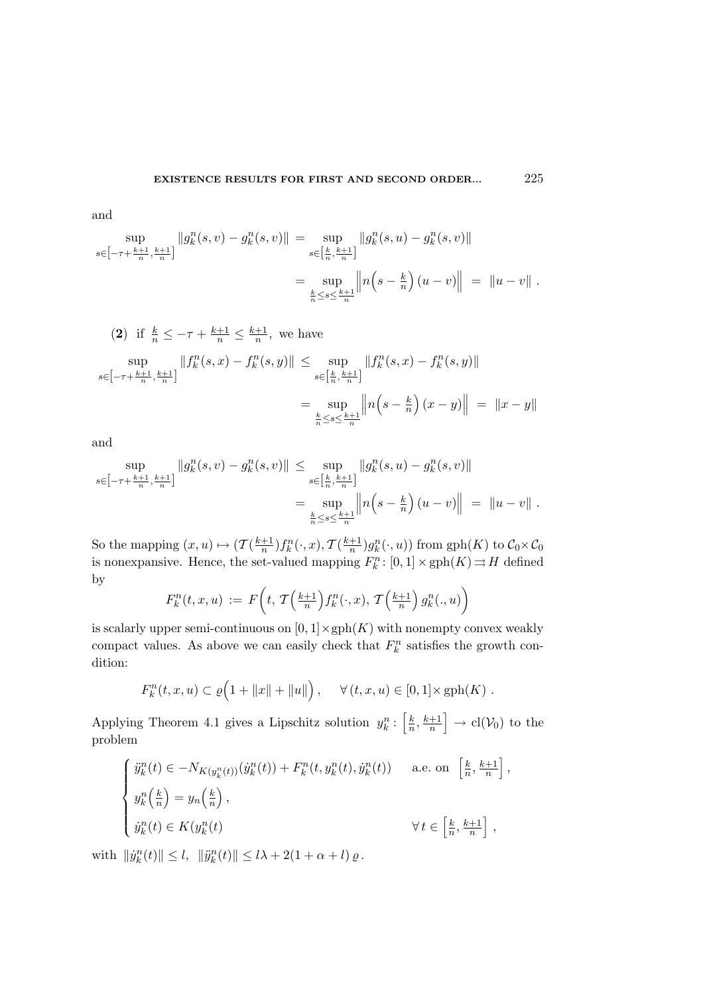$$
\sup_{s \in \left[-\tau + \frac{k+1}{n}, \frac{k+1}{n}\right]} \|g_k^n(s, v) - g_k^n(s, v)\| = \sup_{s \in \left[\frac{k}{n}, \frac{k+1}{n}\right]} \|g_k^n(s, u) - g_k^n(s, v)\|
$$
  

$$
= \sup_{\frac{k}{n} \le s \le \frac{k+1}{n}} \|n(s - \frac{k}{n})(u - v)\| = \|u - v\|.
$$

(2) if 
$$
\frac{k}{n} \le -\tau + \frac{k+1}{n} \le \frac{k+1}{n}
$$
, we have  
\n
$$
\sup_{s \in [-\tau + \frac{k+1}{n}, \frac{k+1}{n}]} ||f_k^n(s, x) - f_k^n(s, y)|| \le \sup_{s \in [\frac{k}{n}, \frac{k+1}{n}]} ||f_k^n(s, x) - f_k^n(s, y)||
$$
\n
$$
= \sup_{\frac{k}{n} \le s \le \frac{k+1}{n}} ||n(s - \frac{k}{n})(x - y)|| = ||x - y||
$$

and

$$
\sup_{s \in \left[-\tau + \frac{k+1}{n}, \frac{k+1}{n}\right]} \|g_k^n(s, v) - g_k^n(s, v)\| \le \sup_{s \in \left[\frac{k}{n}, \frac{k+1}{n}\right]} \|g_k^n(s, u) - g_k^n(s, v)\|
$$
  
= 
$$
\sup_{\frac{k}{n} \le s \le \frac{k+1}{n}} \|n\left(s - \frac{k}{n}\right)(u - v)\| = \|u - v\|.
$$

So the mapping  $(x, u) \mapsto (T(\frac{k+1}{n})f_k^n(\cdot, x), T(\frac{k+1}{n})g_k^n(\cdot, u))$  from  $gph(K)$  to  $C_0 \times C_0$ is nonexpansive. Hence, the set-valued mapping  $F_k^n : [0,1] \times \text{gph}(K) \rightrightarrows H$  defined by

$$
F_k^n(t, x, u) := F\left(t, \mathcal{T}\left(\frac{k+1}{n}\right) f_k^n(\cdot, x), \mathcal{T}\left(\frac{k+1}{n}\right) g_k^n(\cdot, u)\right)
$$

is scalarly upper semi-continuous on  $[0,1] \times \text{gph}(K)$  with nonempty convex weakly compact values. As above we can easily check that  $F_k^n$  satisfies the growth condition:

$$
F_k^n(t, x, u) \subset \varrho(1 + ||x|| + ||u||), \quad \forall (t, x, u) \in [0, 1] \times \text{gph}(K).
$$

Applying Theorem 4.1 gives a Lipschitz solution  $y_k^n : \left[\frac{k}{n}\right]$  $\left[\frac{k}{n},\frac{k+1}{n}\right] \rightarrow \text{cl}(\mathcal{V}_0)$  to the problem

$$
\begin{cases}\n\ddot{y}_k^n(t) \in -N_{K(y_k^n(t))}(\dot{y}_k^n(t)) + F_k^n(t, y_k^n(t), \dot{y}_k^n(t)) & \text{a.e. on } \left[\frac{k}{n}, \frac{k+1}{n}\right], \\
y_k^n\left(\frac{k}{n}\right) = y_n\left(\frac{k}{n}\right), \\
\dot{y}_k^n(t) \in K(y_k^n(t)) & \forall t \in \left[\frac{k}{n}, \frac{k+1}{n}\right],\n\end{cases}
$$

with  $\|\dot{y}_k^n(t)\| \le l, \|\ddot{y}_k^n(t)\| \le l\lambda + 2(1 + \alpha + l)\varrho$ .

and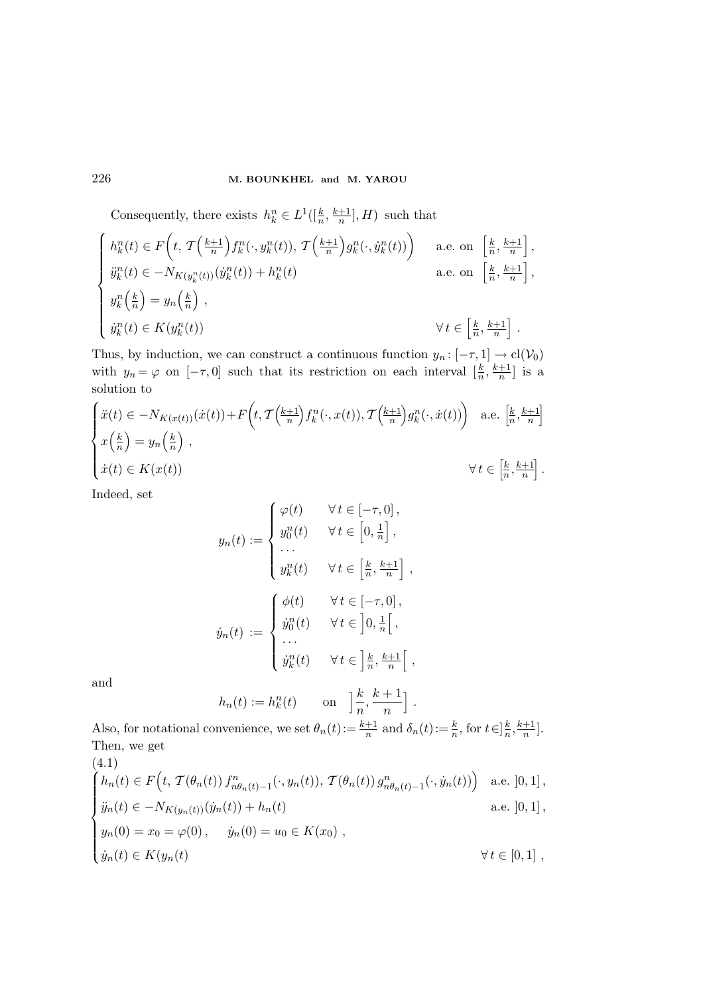Consequently, there exists  $h_k^n \in L^1([\frac{k}{n}, \frac{k+1}{n}], H)$  such that

$$
\begin{cases}\nh_k^n(t) \in F\left(t, \mathcal{T}\left(\frac{k+1}{n}\right) f_k^n(\cdot, y_k^n(t)), \mathcal{T}\left(\frac{k+1}{n}\right) g_k^n(\cdot, y_k^n(t))\right) & \text{a.e. on } \left[\frac{k}{n}, \frac{k+1}{n}\right], \\
\ddot{y}_k^n(t) \in -N_{K(y_k^n(t))}(\dot{y}_k^n(t)) + h_k^n(t) & \text{a.e. on } \left[\frac{k}{n}, \frac{k+1}{n}\right], \\
y_k^n\left(\frac{k}{n}\right) = y_n\left(\frac{k}{n}\right), \\
\dot{y}_k^n(t) \in K(y_k^n(t)) & \forall t \in \left[\frac{k}{n}, \frac{k+1}{n}\right].\n\end{cases}
$$

Thus, by induction, we can construct a continuous function  $y_n: [-\tau, 1] \to \text{cl}(\mathcal{V}_0)$ with  $y_n = \varphi$  on  $[-\tau, 0]$  such that its restriction on each interval  $\left[\frac{k}{n}\right]$  $\frac{k}{n}, \frac{k+1}{n}$  is a solution to

$$
\begin{cases}\n\ddot{x}(t) \in -N_{K(x(t))}(\dot{x}(t)) + F\left(t, \mathcal{T}\left(\frac{k+1}{n}\right) f_k^n(\cdot, x(t)), \mathcal{T}\left(\frac{k+1}{n}\right) g_k^n(\cdot, \dot{x}(t))\right) & \text{a.e. } \left[\frac{k}{n}, \frac{k+1}{n}\right] \\
x\left(\frac{k}{n}\right) = y_n\left(\frac{k}{n}\right), \\
\dot{x}(t) \in K(x(t)) & \forall t \in \left[\frac{k}{n}, \frac{k+1}{n}\right].\n\end{cases}
$$

Indeed, set

$$
y_n(t) := \begin{cases} \varphi(t) & \forall t \in [-\tau, 0], \\ y_0^n(t) & \forall t \in \left[0, \frac{1}{n}\right], \\ \dots \\ y_k^n(t) & \forall t \in \left[\frac{k}{n}, \frac{k+1}{n}\right], \\ \dot{y}_n(t) := \begin{cases} \phi(t) & \forall t \in [-\tau, 0], \\ \dot{y}_0^n(t) & \forall t \in \left]0, \frac{1}{n}\right[, \\ \dots \\ \dot{y}_k^n(t) & \forall t \in \left]\frac{k}{n}, \frac{k+1}{n}\right[, \end{cases}
$$

and

$$
h_n(t) := h_k^n(t) \qquad \text{on} \quad \left] \frac{k}{n}, \frac{k+1}{n} \right].
$$

Also, for notational convenience, we set  $\theta_n(t) := \frac{k+1}{n}$  and  $\delta_n(t) := \frac{k}{n}$ , for  $t \in \frac{k}{n}$  $\frac{k}{n}, \frac{k+1}{n}$ . Then, we get (4.1)

$$
\begin{cases}\n\hat{h}_n(t) \in F(t, \mathcal{T}(\theta_n(t)) f_{n\theta_n(t)-1}^n(\cdot, y_n(t)), \mathcal{T}(\theta_n(t)) g_{n\theta_n(t)-1}^n(\cdot, \dot{y}_n(t))\n\end{cases}\n\text{ a.e. } ]0,1],
$$
\n
$$
\begin{cases}\n\ddot{y}_n(t) \in -N_{K(y_n(t))}(\dot{y}_n(t)) + h_n(t) & \text{a.e. } ]0,1], \\
y_n(0) = x_0 = \varphi(0), \quad \dot{y}_n(0) = u_0 \in K(x_0), \\
\dot{y}_n(t) \in K(y_n(t)) & \forall t \in [0,1],\n\end{cases}
$$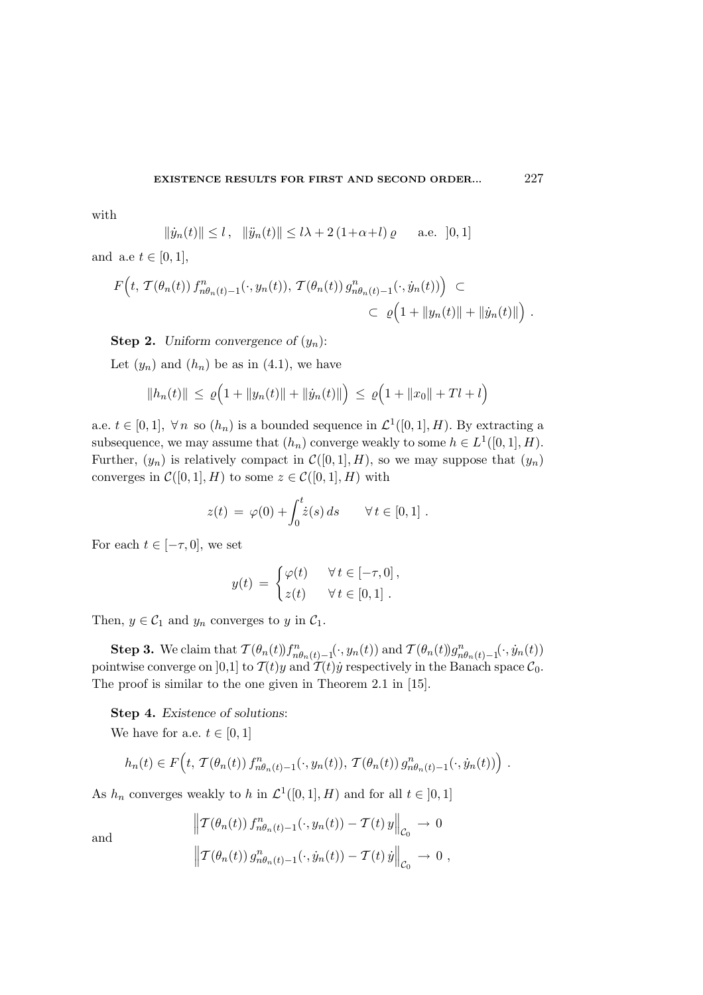with

$$
||\dot{y}_n(t)|| \le l
$$
,  $||\ddot{y}_n(t)|| \le l\lambda + 2(1+\alpha+l)\varrho$  a.e.  $[0,1]$ 

and a.e  $t \in [0, 1]$ ,

$$
F\left(t, \mathcal{T}(\theta_n(t)) f_{n\theta_n(t)-1}^n(\cdot, y_n(t)), \mathcal{T}(\theta_n(t)) g_{n\theta_n(t)-1}^n(\cdot, \dot{y}_n(t))\right) \subset
$$
  

$$
\subset \varrho\Big(1 + \|y_n(t)\| + \|\dot{y}_n(t)\|\Big) .
$$

**Step 2.** Uniform convergence of  $(y_n)$ :

Let  $(y_n)$  and  $(h_n)$  be as in  $(4.1)$ , we have

$$
||h_n(t)|| \le \varrho \Big( 1 + ||y_n(t)|| + ||\dot{y}_n(t)|| \Big) \le \varrho \Big( 1 + ||x_0|| + Tl + l \Big)
$$

a.e.  $t \in [0,1], \forall n$  so  $(h_n)$  is a bounded sequence in  $\mathcal{L}^1([0,1], H)$ . By extracting a subsequence, we may assume that  $(h_n)$  converge weakly to some  $h \in L^1([0,1], H)$ . Further,  $(y_n)$  is relatively compact in  $\mathcal{C}([0,1], H)$ , so we may suppose that  $(y_n)$ converges in  $\mathcal{C}([0,1], H)$  to some  $z \in \mathcal{C}([0,1], H)$  with

$$
z(t) = \varphi(0) + \int_0^t \dot{z}(s) ds \qquad \forall t \in [0, 1].
$$

For each  $t \in [-\tau, 0]$ , we set

$$
y(t) = \begin{cases} \varphi(t) & \forall t \in [-\tau, 0], \\ z(t) & \forall t \in [0, 1]. \end{cases}
$$

Then,  $y \in C_1$  and  $y_n$  converges to y in  $C_1$ .

**Step 3.** We claim that  $\mathcal{T}(\theta_n(t))f^n_{n\theta_n(t)-1}(\cdot,y_n(t))$  and  $\mathcal{T}(\theta_n(t))g^n_{n\theta_n(t)-1}(\cdot,\dot{y}_n(t))$ pointwise converge on [0,1] to  $\mathcal{T}(t)y$  and  $\mathcal{T}(t)y$  respectively in the Banach space  $\mathcal{C}_0$ . The proof is similar to the one given in Theorem 2.1 in [15].

Step 4. Existence of solutions:

We have for a.e.  $t \in [0, 1]$ 

$$
h_n(t) \in F\Big(t, \mathcal{T}(\theta_n(t)) f^n_{n\theta_n(t)-1}(\cdot, y_n(t)), \mathcal{T}(\theta_n(t)) g^n_{n\theta_n(t)-1}(\cdot, \dot{y}_n(t))\Big).
$$

As  $h_n$  converges weakly to h in  $\mathcal{L}^1([0,1], H)$  and for all  $t \in [0,1]$ 

and

$$
\left\| \mathcal{T}(\theta_n(t)) f_{n\theta_n(t)-1}^n(\cdot, y_n(t)) - \mathcal{T}(t) y \right\|_{\mathcal{C}_0} \to 0
$$
  

$$
\left\| \mathcal{T}(\theta_n(t)) g_{n\theta_n(t)-1}^n(\cdot, \dot{y}_n(t)) - \mathcal{T}(t) \dot{y} \right\|_{\mathcal{C}_0} \to 0,
$$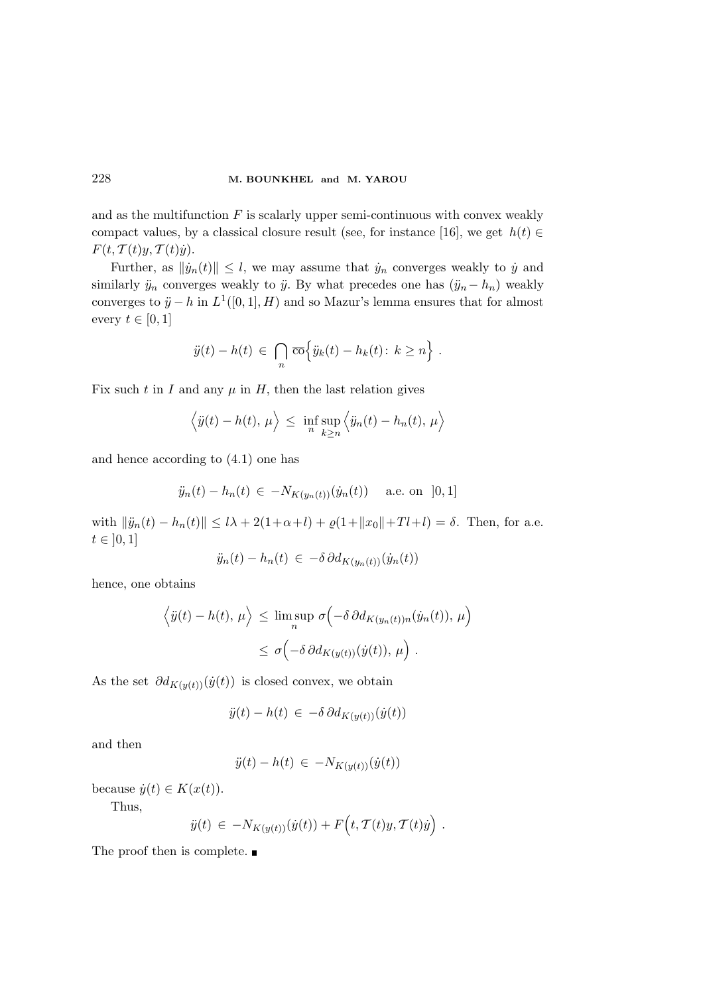and as the multifunction  $F$  is scalarly upper semi-continuous with convex weakly compact values, by a classical closure result (see, for instance [16], we get  $h(t) \in$  $F(t, \mathcal{T}(t)y, \mathcal{T}(t)\dot{y}).$ 

Further, as  $\|\dot{y}_n(t)\| \leq l$ , we may assume that  $\dot{y}_n$  converges weakly to  $\dot{y}$  and similarly  $\ddot{y}_n$  converges weakly to  $\ddot{y}$ . By what precedes one has  $(\ddot{y}_n-h_n)$  weakly converges to  $\ddot{y} - h$  in  $L^1([0,1], H)$  and so Mazur's lemma ensures that for almost every  $t \in [0, 1]$ 

$$
\ddot{y}(t) - h(t) \in \bigcap_{n} \overline{\text{co}} \Big\{ \ddot{y}_k(t) - h_k(t) \colon k \ge n \Big\} .
$$

Fix such t in I and any  $\mu$  in H, then the last relation gives

$$
\langle \ddot{y}(t) - h(t), \mu \rangle \leq \inf_{n} \sup_{k \geq n} \langle \ddot{y}_n(t) - h_n(t), \mu \rangle
$$

and hence according to (4.1) one has

$$
\ddot{y}_n(t) - h_n(t) \in -N_{K(y_n(t))}(\dot{y}_n(t))
$$
 a.e. on [0,1]

with  $\|\ddot{y}_n(t) - h_n(t)\| \leq l\lambda + 2(1+\alpha+l) + \varrho(1+||x_0||+Tl+l) = \delta$ . Then, for a.e.  $t \in [0, 1]$ 

$$
\ddot{y}_n(t) - h_n(t) \in -\delta \partial d_{K(y_n(t))}(\dot{y}_n(t))
$$

hence, one obtains

$$
\langle \ddot{y}(t) - h(t), \mu \rangle \le \limsup_{n} \sigma \left( -\delta \partial d_{K(y_n(t))n}(\dot{y}_n(t)), \mu \right)
$$
  

$$
\le \sigma \left( -\delta \partial d_{K(y(t))}(\dot{y}(t)), \mu \right).
$$

As the set  $\partial d_{K(y(t))}(y(t))$  is closed convex, we obtain

$$
\ddot{y}(t) - h(t) \in -\delta \, \partial d_{K(y(t))}(\dot{y}(t))
$$

and then

$$
\ddot{y}(t) - h(t) \in -N_{K(y(t))}(\dot{y}(t))
$$

because  $\dot{y}(t) \in K(x(t)).$ 

Thus,

$$
\ddot{y}(t) \in -N_{K(y(t))}(\dot{y}(t)) + F(t, \mathcal{T}(t)y, \mathcal{T}(t)\dot{y}).
$$

The proof then is complete.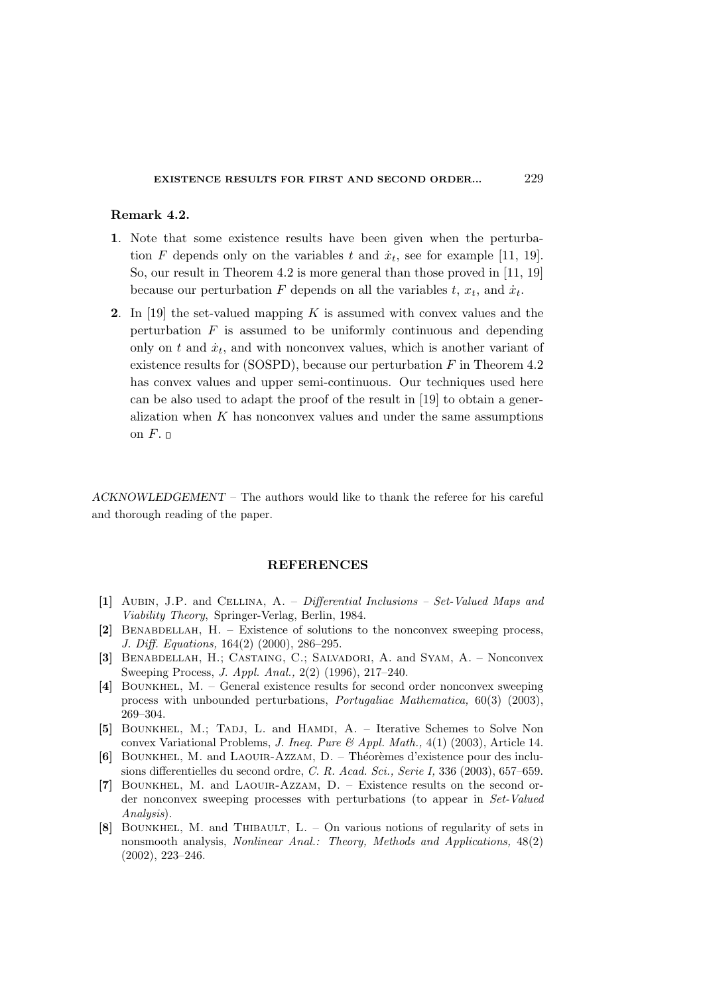## Remark 4.2.

- 1. Note that some existence results have been given when the perturbation F depends only on the variables t and  $\dot{x}_t$ , see for example [11, 19]. So, our result in Theorem 4.2 is more general than those proved in [11, 19] because our perturbation F depends on all the variables  $t, x_t$ , and  $\dot{x}_t$ .
- 2. In [19] the set-valued mapping  $K$  is assumed with convex values and the perturbation  $F$  is assumed to be uniformly continuous and depending only on  $t$  and  $\dot{x}_t$ , and with nonconvex values, which is another variant of existence results for  $(SOSPD)$ , because our perturbation F in Theorem 4.2 has convex values and upper semi-continuous. Our techniques used here can be also used to adapt the proof of the result in [19] to obtain a generalization when  $K$  has nonconvex values and under the same assumptions on  $F$ .  $\Box$

ACKNOWLEDGEMENT – The authors would like to thank the referee for his careful and thorough reading of the paper.

## REFERENCES

- [1] Aubin, J.P. and Cellina, A. Differential Inclusions Set-Valued Maps and Viability Theory, Springer-Verlag, Berlin, 1984.
- [2] Benabdellah, H. Existence of solutions to the nonconvex sweeping process, J. Diff. Equations, 164(2) (2000), 286–295.
- [3] Benabdellah, H.; Castaing, C.; Salvadori, A. and Syam, A. Nonconvex Sweeping Process, J. Appl. Anal., 2(2) (1996), 217–240.
- [4] Bounkhel, M. General existence results for second order nonconvex sweeping process with unbounded perturbations, Portugaliae Mathematica, 60(3) (2003), 269–304.
- [5] BOUNKHEL, M.; TADJ, L. and HAMDI, A. Iterative Schemes to Solve Non convex Variational Problems, J. Ineq. Pure  $\mathcal{B}$  Appl. Math., 4(1) (2003), Article 14.
- [6] BOUNKHEL, M. and LAOUIR-AZZAM, D. Théorèmes d'existence pour des inclusions differentielles du second ordre, C. R. Acad. Sci., Serie I, 336 (2003), 657–659.
- [7] Bounkhel, M. and Laouir-Azzam, D. Existence results on the second order nonconvex sweeping processes with perturbations (to appear in Set-Valued Analysis).
- [8] Bounkhel, M. and Thibault, L. On various notions of regularity of sets in nonsmooth analysis, Nonlinear Anal.: Theory, Methods and Applications, 48(2) (2002), 223–246.